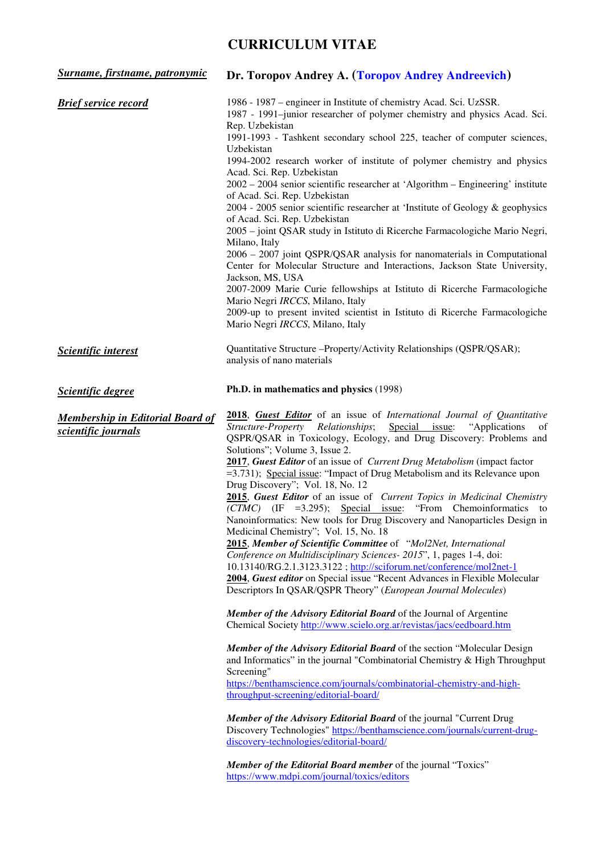# **CURRICULUM VITAE**

| Surname, firstname, patronymic                                 | Dr. Toropov Andrey A. (Toropov Andrey Andreevich)                                                                                                                                                                                                                                                                                                                                                                                                                                                                                                                                                                                                                                                                                                                                                                                                                                                                                                                                                                                                                                                                                                                                                                                                                                                                                                                                                                                                                                                                                                                                                                                                                                                                                                                                                                                                         |  |
|----------------------------------------------------------------|-----------------------------------------------------------------------------------------------------------------------------------------------------------------------------------------------------------------------------------------------------------------------------------------------------------------------------------------------------------------------------------------------------------------------------------------------------------------------------------------------------------------------------------------------------------------------------------------------------------------------------------------------------------------------------------------------------------------------------------------------------------------------------------------------------------------------------------------------------------------------------------------------------------------------------------------------------------------------------------------------------------------------------------------------------------------------------------------------------------------------------------------------------------------------------------------------------------------------------------------------------------------------------------------------------------------------------------------------------------------------------------------------------------------------------------------------------------------------------------------------------------------------------------------------------------------------------------------------------------------------------------------------------------------------------------------------------------------------------------------------------------------------------------------------------------------------------------------------------------|--|
| <b>Brief service record</b>                                    | 1986 - 1987 – engineer in Institute of chemistry Acad. Sci. UzSSR.<br>1987 - 1991-junior researcher of polymer chemistry and physics Acad. Sci.<br>Rep. Uzbekistan<br>1991-1993 - Tashkent secondary school 225, teacher of computer sciences,<br>Uzbekistan<br>1994-2002 research worker of institute of polymer chemistry and physics<br>Acad. Sci. Rep. Uzbekistan<br>$2002 - 2004$ senior scientific researcher at 'Algorithm – Engineering' institute<br>of Acad. Sci. Rep. Uzbekistan<br>2004 - 2005 senior scientific researcher at 'Institute of Geology & geophysics<br>of Acad. Sci. Rep. Uzbekistan<br>2005 – joint QSAR study in Istituto di Ricerche Farmacologiche Mario Negri,<br>Milano, Italy<br>2006 - 2007 joint QSPR/QSAR analysis for nanomaterials in Computational<br>Center for Molecular Structure and Interactions, Jackson State University,<br>Jackson, MS, USA<br>2007-2009 Marie Curie fellowships at Istituto di Ricerche Farmacologiche<br>Mario Negri IRCCS, Milano, Italy<br>2009-up to present invited scientist in Istituto di Ricerche Farmacologiche<br>Mario Negri IRCCS, Milano, Italy                                                                                                                                                                                                                                                                                                                                                                                                                                                                                                                                                                                                                                                                                                                            |  |
| Scientific interest                                            | Quantitative Structure - Property/Activity Relationships (QSPR/QSAR);<br>analysis of nano materials                                                                                                                                                                                                                                                                                                                                                                                                                                                                                                                                                                                                                                                                                                                                                                                                                                                                                                                                                                                                                                                                                                                                                                                                                                                                                                                                                                                                                                                                                                                                                                                                                                                                                                                                                       |  |
| <b>Scientific degree</b>                                       | Ph.D. in mathematics and physics (1998)                                                                                                                                                                                                                                                                                                                                                                                                                                                                                                                                                                                                                                                                                                                                                                                                                                                                                                                                                                                                                                                                                                                                                                                                                                                                                                                                                                                                                                                                                                                                                                                                                                                                                                                                                                                                                   |  |
| <b>Membership in Editorial Board of</b><br>scientific journals | 2018, Guest Editor of an issue of International Journal of Quantitative<br>Structure-Property Relationships; Special issue:<br>"Applications"<br>of<br>QSPR/QSAR in Toxicology, Ecology, and Drug Discovery: Problems and<br>Solutions"; Volume 3, Issue 2.<br>2017, Guest Editor of an issue of Current Drug Metabolism (impact factor<br>=3.731); Special issue: "Impact of Drug Metabolism and its Relevance upon<br>Drug Discovery"; Vol. 18, No. 12<br>2015, Guest Editor of an issue of Current Topics in Medicinal Chemistry<br>$(CTMC)$ (IF =3.295); Special issue: "From Chemoinformatics to<br>Nanoinformatics: New tools for Drug Discovery and Nanoparticles Design in<br>Medicinal Chemistry"; Vol. 15, No. 18<br>2015, Member of Scientific Committee of "Mol2Net, International<br>Conference on Multidisciplinary Sciences- 2015", 1, pages 1-4, doi:<br>10.13140/RG.2.1.3123.3122; http://sciforum.net/conference/mol2net-1<br>2004, Guest editor on Special issue "Recent Advances in Flexible Molecular<br>Descriptors In QSAR/QSPR Theory" (European Journal Molecules)<br>Member of the Advisory Editorial Board of the Journal of Argentine<br>Chemical Society http://www.scielo.org.ar/revistas/jacs/eedboard.htm<br><b>Member of the Advisory Editorial Board of the section "Molecular Design</b> "<br>and Informatics" in the journal "Combinatorial Chemistry & High Throughput<br>Screening"<br>https://benthamscience.com/journals/combinatorial-chemistry-and-high-<br>throughput-screening/editorial-board/<br>Member of the Advisory Editorial Board of the journal "Current Drug<br>Discovery Technologies" https://benthamscience.com/journals/current-drug-<br>discovery-technologies/editorial-board/<br>Member of the Editorial Board member of the journal "Toxics"<br>https://www.mdpi.com/journal/toxics/editors |  |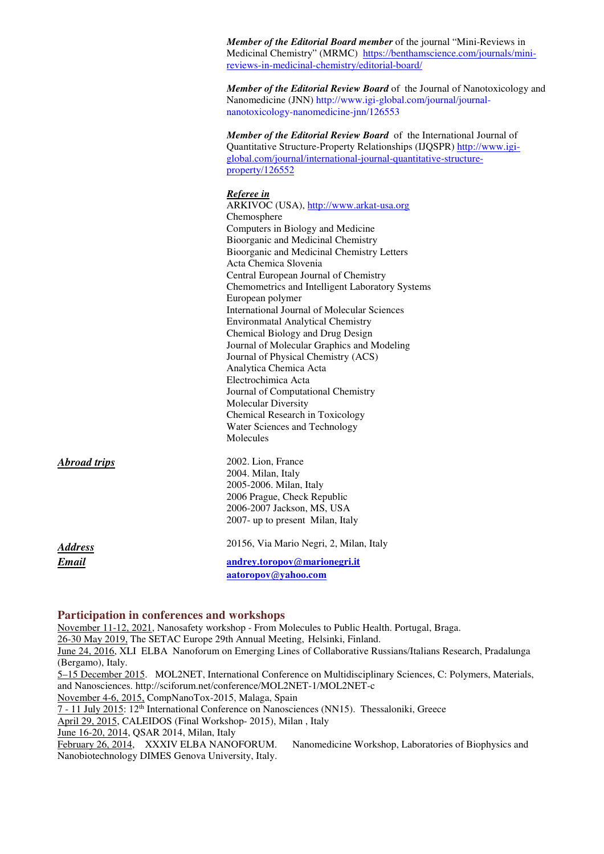*Member of the Editorial Board member* of the journal "Mini-Reviews in Medicinal Chemistry" (MRMC) https://benthamscience.com/journals/minireviews-in-medicinal-chemistry/editorial-board/

*Member of the Editorial Review Board* of the Journal of Nanotoxicology and Nanomedicine (JNN) http://www.igi-global.com/journal/journalnanotoxicology-nanomedicine-jnn/126553

*Member of the Editorial Review Board* of the International Journal of Quantitative Structure-Property Relationships (IJQSPR) http://www.igiglobal.com/journal/international-journal-quantitative-structureproperty/126552

#### *Referee in*

ARKIVOC (USA), http://www.arkat-usa.org Chemosphere Computers in Biology and Medicine Bioorganic and Medicinal Chemistry Bioorganic and Medicinal Chemistry Letters Acta Chemica Slovenia Central European Journal of Chemistry Chemometrics and Intelligent Laboratory Systems European polymer International Journal of Molecular Sciences Environmatal Analytical Chemistry Chemical Biology and Drug Design Journal of Molecular Graphics and Modeling Journal of Physical Chemistry (ACS) Analytica Chemica Acta Electrochimica Acta Journal of Computational Chemistry Molecular Diversity Chemical Research in Toxicology Water Sciences and Technology Molecules

*Abroad trips* 2002. Lion, France

*Address* 20156, Via Mario Negri, 2, Milan, Italy *Email* **andrey.toropov@marionegri.it aatoropov@yahoo.com**

#### **Participation in conferences and workshops**

November 11-12, 2021, Nanosafety workshop - From Molecules to Public Health. Portugal, Braga.

2004. Milan, Italy 2005-2006. Milan, Italy 2006 Prague, Check Republic 2006-2007 Jackson, MS, USA 2007- up to present Milan, Italy

26-30 May 2019, The SETAC Europe 29th Annual Meeting, Helsinki, Finland.

June 24, 2016, XLI ELBA Nanoforum on Emerging Lines of Collaborative Russians/Italians Research, Pradalunga (Bergamo), Italy.

5–15 December 2015. MOL2NET, International Conference on Multidisciplinary Sciences, C: Polymers, Materials, and Nanosciences. http://sciforum.net/conference/MOL2NET-1/MOL2NET-c

November 4-6, 2015, CompNanoTox-2015, Malaga, Spain

7 - 11 July 2015: 12th International Conference on Nanosciences (NN15). Thessaloniki, Greece

April 29, 2015, CALEIDOS (Final Workshop- 2015), Milan , Italy

June 16-20, 2014, QSAR 2014, Milan, Italy

February 26, 2014, XXXIV ELBA NANOFORUM. Nanomedicine Workshop, Laboratories of Biophysics and Nanobiotechnology DIMES Genova University, Italy.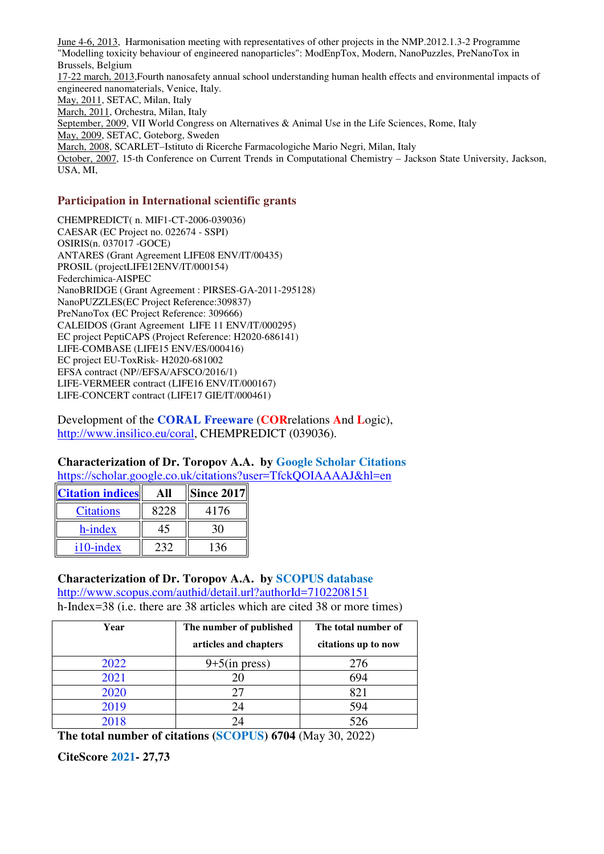June 4-6, 2013, Harmonisation meeting with representatives of other projects in the NMP.2012.1.3-2 Programme "Modelling toxicity behaviour of engineered nanoparticles": ModEnpTox, Modern, NanoPuzzles, PreNanoTox in Brussels, Belgium 17-22 march, 2013,Fourth nanosafety annual school understanding human health effects and environmental impacts of engineered nanomaterials, Venice, Italy. May, 2011, SETAC, Milan, Italy March, 2011, Orchestra, Milan, Italy September, 2009, VII World Congress on Alternatives & Animal Use in the Life Sciences, Rome, Italy May, 2009, SETAC, Goteborg, Sweden March, 2008, SCARLET–Istituto di Ricerche Farmacologiche Mario Negri, Milan, Italy October, 2007, 15-th Conference on Current Trends in Computational Chemistry – Jackson State University, Jackson, USA, MI,

#### **Participation in International scientific grants**

CHEMPREDICT( n. MIF1-CT-2006-039036) CAESAR (EC Project no. 022674 - SSPI) OSIRIS(n. 037017 -GOCE) ANTARES (Grant Agreement LIFE08 ENV/IT/00435) PROSIL (projectLIFE12ENV/IT/000154) Federchimica-AISPEC NanoBRIDGE ( Grant Agreement : PIRSES-GA-2011-295128) NanoPUZZLES(EC Project Reference:309837) PreNanoTox **(**EC Project Reference: 309666) CALEIDOS (Grant Agreement LIFE 11 ENV/IT/000295) EC project PeptiCAPS (Project Reference: H2020-686141) LIFE-COMBASE (LIFE15 ENV/ES/000416) EC project EU-ToxRisk- H2020-681002 EFSA contract (NP//EFSA/AFSCO/2016/1) LIFE-VERMEER contract (LIFE16 ENV/IT/000167) LIFE-CONCERT contract (LIFE17 GIE/IT/000461)

Development of the **CORAL Freeware** (**COR**relations **A**nd **L**ogic), http://www.insilico.eu/coral, CHEMPREDICT (039036).

#### **Characterization of Dr. Toropov A.A. by Google Scholar Citations** https://scholar.google.co.uk/citations?user=TfckQOIAAAAJ&hl=en

| <b>Citation indices</b> |      | <b>Since 2017</b> |
|-------------------------|------|-------------------|
| <b>Citations</b>        | 8228 | 4176              |
| h-index                 | 45   |                   |
| i10-index               |      |                   |

## **Characterization of Dr. Toropov A.A. by SCOPUS database**

http://www.scopus.com/authid/detail.url?authorId=7102208151 h-Index=38 (i.e. there are 38 articles which are cited 38 or more times)

| Year | The number of published | The total number of |
|------|-------------------------|---------------------|
|      | articles and chapters   | citations up to now |
| 2022 | $9+5$ (in press)        | 276                 |
| 2021 | 20                      | 694                 |
| 2020 | 27                      | 821                 |
| 2019 | 24                      | 594                 |
| 2018 | 24                      | 526                 |

**The total number of citations (SCOPUS) 6704** (May 30, 2022)

**CiteScore 2021- 27,73**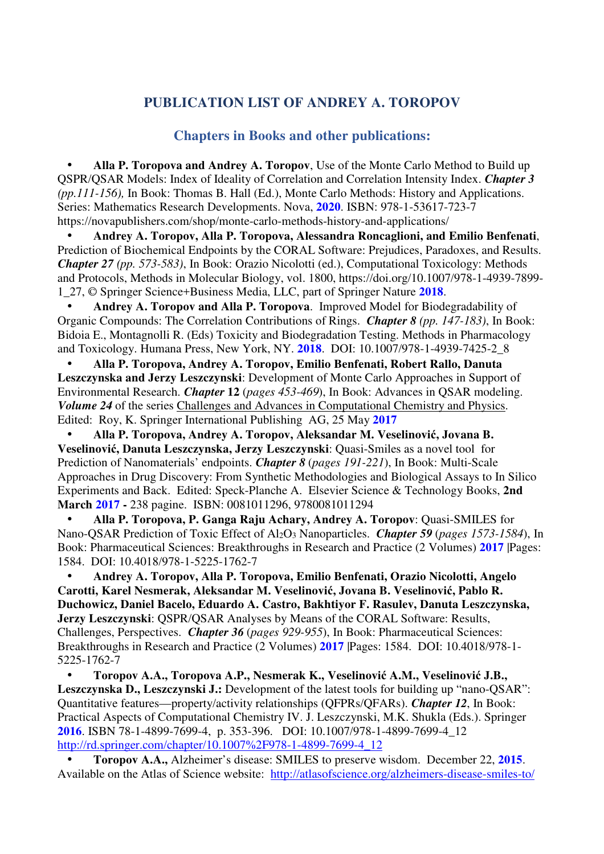## **PUBLICATION LIST OF ANDREY A. TOROPOV**

## **Chapters in Books and other publications:**

• **Alla P. Toropova and Andrey A. Toropov**, Use of the Monte Carlo Method to Build up QSPR/QSAR Models: Index of Ideality of Correlation and Correlation Intensity Index. *Chapter 3 (pp.111-156),* In Book: Thomas B. Hall (Ed.), Monte Carlo Methods: History and Applications. Series: Mathematics Research Developments. Nova, **2020**. ISBN: 978-1-53617-723-7 https://novapublishers.com/shop/monte-carlo-methods-history-and-applications/

• **Andrey A. Toropov, Alla P. Toropova, Alessandra Roncaglioni, and Emilio Benfenati**, Prediction of Biochemical Endpoints by the CORAL Software: Prejudices, Paradoxes, and Results. *Chapter 27 (pp. 573-583)*, In Book: Orazio Nicolotti (ed.), Computational Toxicology: Methods and Protocols, Methods in Molecular Biology, vol. 1800, https://doi.org/10.1007/978-1-4939-7899- 1\_27, © Springer Science+Business Media, LLC, part of Springer Nature **2018**.

• **Andrey A. Toropov and Alla P. Toropova**. Improved Model for Biodegradability of Organic Compounds: The Correlation Contributions of Rings. *Chapter 8 (pp. 147-183)*, In Book: Bidoia E., Montagnolli R. (Eds) Toxicity and Biodegradation Testing. Methods in Pharmacology and Toxicology. Humana Press, New York, NY. **2018**. DOI: 10.1007/978-1-4939-7425-2\_8

• **Alla P. Toropova, Andrey A. Toropov, Emilio Benfenati, Robert Rallo, Danuta Leszczynska and Jerzy Leszczynski**: Development of Monte Carlo Approaches in Support of Environmental Research. *Chapter* **12** (*pages 453-469*), In Book: Advances in QSAR modeling. *Volume 24* of the series Challenges and Advances in Computational Chemistry and Physics. Edited: Roy, K. Springer International Publishing AG, 25 May **2017**

• **Alla P. Toropova, Andrey A. Toropov, Aleksandar M. Veselinović, Jovana B. Veselinović, Danuta Leszczynska, Jerzy Leszczynski**: Quasi-Smiles as a novel tool for Prediction of Nanomaterials' endpoints. *Chapter 8* (*pages 191-221*), In Book: Multi-Scale Approaches in Drug Discovery: From Synthetic Methodologies and Biological Assays to In Silico Experiments and Back. Edited: Speck-Planche A. Elsevier Science & Technology Books, **2nd March 2017 -** 238 pagine. ISBN: 0081011296, 9780081011294

• **Alla P. Toropova, P. Ganga Raju Achary, Andrey A. Toropov**: Quasi-SMILES for Nano-QSAR Prediction of Toxic Effect of Al2O3 Nanoparticles. *Chapter 59* (*pages 1573-1584*), In Book: Pharmaceutical Sciences: Breakthroughs in Research and Practice (2 Volumes) **2017** |Pages: 1584. DOI: 10.4018/978-1-5225-1762-7

• **Andrey A. Toropov, Alla P. Toropova, Emilio Benfenati, Orazio Nicolotti, Angelo Carotti, Karel Nesmerak, Aleksandar M. Veselinović, Jovana B. Veselinović, Pablo R. Duchowicz, Daniel Bacelo, Eduardo A. Castro, Bakhtiyor F. Rasulev, Danuta Leszczynska, Jerzy Leszczynski**: QSPR/QSAR Analyses by Means of the CORAL Software: Results, Challenges, Perspectives. *Chapter 36* (*pages 929-955*), In Book: Pharmaceutical Sciences: Breakthroughs in Research and Practice (2 Volumes) **2017** |Pages: 1584. DOI: 10.4018/978-1- 5225-1762-7

• **Toropov A.A., Toropova A.P., Nesmerak K., Veselinović A.M., Veselinović J.B.,**  Leszczynska D., Leszczynski J.: Development of the latest tools for building up "nano-QSAR": Quantitative features—property/activity relationships (QFPRs/QFARs). *Chapter 12*, In Book: Practical Aspects of Computational Chemistry IV. J. Leszczynski, M.K. Shukla (Eds.). Springer **2016**. ISBN 78-1-4899-7699-4, p. 353-396. DOI: 10.1007/978-1-4899-7699-4\_12 http://rd.springer.com/chapter/10.1007%2F978-1-4899-7699-4\_12

• **Toropov A.A.,** Alzheimer's disease: SMILES to preserve wisdom. December 22, **2015**. Available on the Atlas of Science website: http://atlasofscience.org/alzheimers-disease-smiles-to/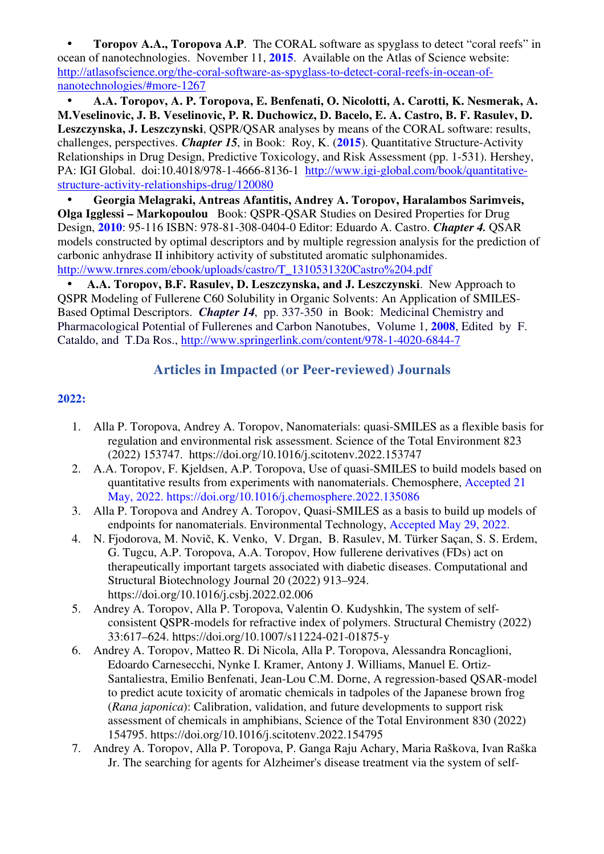**Toropov A.A., Toropova A.P.** The CORAL software as spyglass to detect "coral reefs" in ocean of nanotechnologies. November 11, **2015**. Available on the Atlas of Science website: http://atlasofscience.org/the-coral-software-as-spyglass-to-detect-coral-reefs-in-ocean-ofnanotechnologies/#more-1267

• **A.A. Toropov, A. P. Toropova, E. Benfenati, O. Nicolotti, A. Carotti, K. Nesmerak, A. M.Veselinovic, J. B. Veselinovic, P. R. Duchowicz, D. Bacelo, E. A. Castro, B. F. Rasulev, D. Leszczynska, J. Leszczynski**, QSPR/QSAR analyses by means of the CORAL software: results, challenges, perspectives. *Chapter 15*, in Book: Roy, K. (**2015**). Quantitative Structure-Activity Relationships in Drug Design, Predictive Toxicology, and Risk Assessment (pp. 1-531). Hershey, PA: IGI Global. doi:10.4018/978-1-4666-8136-1 http://www.igi-global.com/book/quantitativestructure-activity-relationships-drug/120080

• **Georgia Melagraki, Antreas Afantitis, Andrey A. Toropov, Haralambos Sarimveis, Olga Igglessi – Markopoulou** Book: QSPR-QSAR Studies on Desired Properties for Drug Design, **2010**: 95-116 ISBN: 978-81-308-0404-0 Editor: Eduardo A. Castro. *Chapter 4.* QSAR models constructed by optimal descriptors and by multiple regression analysis for the prediction of carbonic anhydrase II inhibitory activity of substituted aromatic sulphonamides. http://www.trnres.com/ebook/uploads/castro/T\_1310531320Castro%204.pdf

• **A.A. Toropov, B.F. Rasulev, D. Leszczynska, and J. Leszczynski**. New Approach to QSPR Modeling of Fullerene C60 Solubility in Organic Solvents: An Application of SMILES-Based Optimal Descriptors. *Chapter 14*, pp. 337-350 in Book: Medicinal Chemistry and Pharmacological Potential of Fullerenes and Carbon Nanotubes, Volume 1, **2008**, Edited by F. Cataldo, and T.Da Ros., http://www.springerlink.com/content/978-1-4020-6844-7

## **Articles in Impacted (or Peer-reviewed) Journals**

- 1. Alla P. Toropova, Andrey A. Toropov, Nanomaterials: quasi-SMILES as a flexible basis for regulation and environmental risk assessment. Science of the Total Environment 823 (2022) 153747. https://doi.org/10.1016/j.scitotenv.2022.153747
- 2. A.A. Toropov, F. Kjeldsen, A.P. Toropova, Use of quasi-SMILES to build models based on quantitative results from experiments with nanomaterials. Chemosphere, Accepted 21 May, 2022. https://doi.org/10.1016/j.chemosphere.2022.135086
- 3. Alla P. Toropova and Andrey A. Toropov, Quasi-SMILES as a basis to build up models of endpoints for nanomaterials. Environmental Technology, Accepted May 29, 2022.
- 4. N. Fjodorova, M. Novič, K. Venko, V. Drgan, B. Rasulev, M. Türker Saçan, S. S. Erdem, G. Tugcu, A.P. Toropova, A.A. Toropov, How fullerene derivatives (FDs) act on therapeutically important targets associated with diabetic diseases. Computational and Structural Biotechnology Journal 20 (2022) 913–924. https://doi.org/10.1016/j.csbj.2022.02.006
- 5. Andrey A. Toropov, Alla P. Toropova, Valentin O. Kudyshkin, The system of selfconsistent QSPR-models for refractive index of polymers. Structural Chemistry (2022) 33:617–624. https://doi.org/10.1007/s11224-021-01875-y
- 6. Andrey A. Toropov, Matteo R. Di Nicola, Alla P. Toropova, Alessandra Roncaglioni, Edoardo Carnesecchi, Nynke I. Kramer, Antony J. Williams, Manuel E. Ortiz-Santaliestra, Emilio Benfenati, Jean-Lou C.M. Dorne, A regression-based QSAR-model to predict acute toxicity of aromatic chemicals in tadpoles of the Japanese brown frog (*Rana japonica*): Calibration, validation, and future developments to support risk assessment of chemicals in amphibians, Science of the Total Environment 830 (2022) 154795. https://doi.org/10.1016/j.scitotenv.2022.154795
- 7. Andrey A. Toropov, Alla P. Toropova, P. Ganga Raju Achary, Maria Raškova, Ivan Raška Jr. The searching for agents for Alzheimer's disease treatment via the system of self-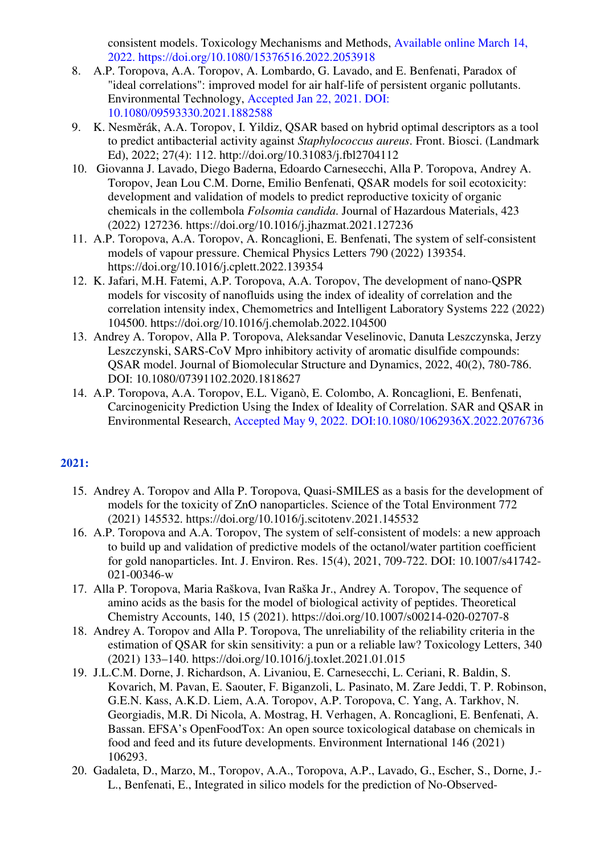consistent models. Toxicology Mechanisms and Methods, Available online March 14, 2022. https://doi.org/10.1080/15376516.2022.2053918

- 8. A.P. Toropova, A.A. Toropov, A. Lombardo, G. Lavado, and E. Benfenati, Paradox of "ideal correlations": improved model for air half-life of persistent organic pollutants. Environmental Technology, Accepted Jan 22, 2021. DOI: 10.1080/09593330.2021.1882588
- 9. K. Nesměrák, A.A. Toropov, I. Yildiz, QSAR based on hybrid optimal descriptors as a tool to predict antibacterial activity against *Staphylococcus aureus*. Front. Biosci. (Landmark Ed), 2022; 27(4): 112. http://doi.org/10.31083/j.fbl2704112
- 10. Giovanna J. Lavado, Diego Baderna, Edoardo Carnesecchi, Alla P. Toropova, Andrey A. Toropov, Jean Lou C.M. Dorne, Emilio Benfenati, QSAR models for soil ecotoxicity: development and validation of models to predict reproductive toxicity of organic chemicals in the collembola *Folsomia candida*. Journal of Hazardous Materials, 423 (2022) 127236. https://doi.org/10.1016/j.jhazmat.2021.127236
- 11. A.P. Toropova, A.A. Toropov, A. Roncaglioni, E. Benfenati, The system of self-consistent models of vapour pressure. Chemical Physics Letters 790 (2022) 139354. https://doi.org/10.1016/j.cplett.2022.139354
- 12. K. Jafari, M.H. Fatemi, A.P. Toropova, A.A. Toropov, The development of nano-QSPR models for viscosity of nanofluids using the index of ideality of correlation and the correlation intensity index, Chemometrics and Intelligent Laboratory Systems 222 (2022) 104500. https://doi.org/10.1016/j.chemolab.2022.104500
- 13. Andrey A. Toropov, Alla P. Toropova, Aleksandar Veselinovic, Danuta Leszczynska, Jerzy Leszczynski, SARS-CoV Mpro inhibitory activity of aromatic disulfide compounds: QSAR model. Journal of Biomolecular Structure and Dynamics, 2022, 40(2), 780-786. DOI: 10.1080/07391102.2020.1818627
- 14. A.P. Toropova, A.A. Toropov, E.L. Viganò, E. Colombo, A. Roncaglioni, E. Benfenati, Carcinogenicity Prediction Using the Index of Ideality of Correlation. SAR and QSAR in Environmental Research, Accepted May 9, 2022. DOI:10.1080/1062936X.2022.2076736

- 15. Andrey A. Toropov and Alla P. Toropova, Quasi-SMILES as a basis for the development of models for the toxicity of ZnO nanoparticles. Science of the Total Environment 772 (2021) 145532. https://doi.org/10.1016/j.scitotenv.2021.145532
- 16. A.P. Toropova and A.A. Toropov, The system of self-consistent of models: a new approach to build up and validation of predictive models of the octanol/water partition coefficient for gold nanoparticles. Int. J. Environ. Res. 15(4), 2021, 709-722. DOI: 10.1007/s41742- 021-00346-w
- 17. Alla P. Toropova, Maria Raškova, Ivan Raška Jr., Andrey A. Toropov, The sequence of amino acids as the basis for the model of biological activity of peptides. Theoretical Chemistry Accounts, 140, 15 (2021). https://doi.org/10.1007/s00214-020-02707-8
- 18. Andrey A. Toropov and Alla P. Toropova, The unreliability of the reliability criteria in the estimation of QSAR for skin sensitivity: a pun or a reliable law? Toxicology Letters, 340 (2021) 133–140. https://doi.org/10.1016/j.toxlet.2021.01.015
- 19. J.L.C.M. Dorne, J. Richardson, A. Livaniou, E. Carnesecchi, L. Ceriani, R. Baldin, S. Kovarich, M. Pavan, E. Saouter, F. Biganzoli, L. Pasinato, M. Zare Jeddi, T. P. Robinson, G.E.N. Kass, A.K.D. Liem, A.A. Toropov, A.P. Toropova, C. Yang, A. Tarkhov, N. Georgiadis, M.R. Di Nicola, A. Mostrag, H. Verhagen, A. Roncaglioni, E. Benfenati, A. Bassan. EFSA's OpenFoodTox: An open source toxicological database on chemicals in food and feed and its future developments. Environment International 146 (2021) 106293.
- 20. Gadaleta, D., Marzo, M., Toropov, A.A., Toropova, A.P., Lavado, G., Escher, S., Dorne, J.- L., Benfenati, E., Integrated in silico models for the prediction of No-Observed-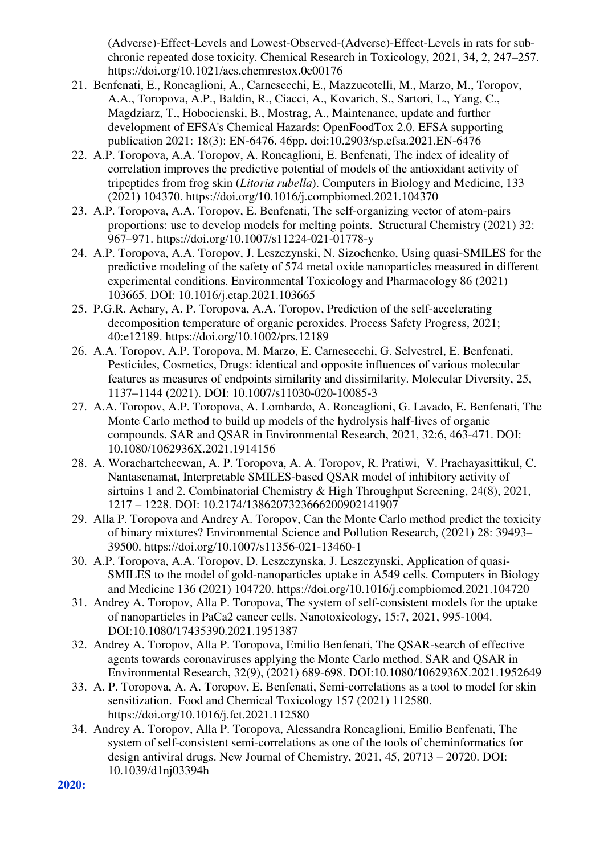(Adverse)-Effect-Levels and Lowest-Observed-(Adverse)-Effect-Levels in rats for subchronic repeated dose toxicity. Chemical Research in Toxicology, 2021, 34, 2, 247–257. https://doi.org/10.1021/acs.chemrestox.0c00176

- 21. Benfenati, E., Roncaglioni, A., Carnesecchi, E., Mazzucotelli, M., Marzo, M., Toropov, A.A., Toropova, A.P., Baldin, R., Ciacci, A., Kovarich, S., Sartori, L., Yang, C., Magdziarz, T., Hobocienski, B., Mostrag, A., Maintenance, update and further development of EFSA's Chemical Hazards: OpenFoodTox 2.0. EFSA supporting publication 2021: 18(3): EN‐6476. 46pp. doi:10.2903/sp.efsa.2021.EN-6476
- 22. A.P. Toropova, A.A. Toropov, A. Roncaglioni, E. Benfenati, The index of ideality of correlation improves the predictive potential of models of the antioxidant activity of tripeptides from frog skin (*Litoria rubella*). Computers in Biology and Medicine, 133 (2021) 104370. https://doi.org/10.1016/j.compbiomed.2021.104370
- 23. A.P. Toropova, A.A. Toropov, E. Benfenati, The self-organizing vector of atom-pairs proportions: use to develop models for melting points. Structural Chemistry (2021) 32: 967–971. https://doi.org/10.1007/s11224-021-01778-y
- 24. A.P. Toropova, A.A. Toropov, J. Leszczynski, N. Sizochenko, Using quasi-SMILES for the predictive modeling of the safety of 574 metal oxide nanoparticles measured in different experimental conditions. Environmental Toxicology and Pharmacology 86 (2021) 103665. DOI: 10.1016/j.etap.2021.103665
- 25. P.G.R. Achary, A. P. Toropova, A.A. Toropov, Prediction of the self-accelerating decomposition temperature of organic peroxides. Process Safety Progress, 2021; 40:e12189. https://doi.org/10.1002/prs.12189
- 26. A.A. Toropov, A.P. Toropova, M. Marzo, E. Carnesecchi, G. Selvestrel, E. Benfenati, Pesticides, Cosmetics, Drugs: identical and opposite influences of various molecular features as measures of endpoints similarity and dissimilarity. Molecular Diversity, 25, 1137–1144 (2021). DOI: 10.1007/s11030-020-10085-3
- 27. A.A. Toropov, A.P. Toropova, A. Lombardo, A. Roncaglioni, G. Lavado, E. Benfenati, The Monte Carlo method to build up models of the hydrolysis half-lives of organic compounds. SAR and QSAR in Environmental Research, 2021, 32:6, 463-471. DOI: 10.1080/1062936X.2021.1914156
- 28. A. Worachartcheewan, A. P. Toropova, A. A. Toropov, R. Pratiwi, V. Prachayasittikul, C. Nantasenamat, Interpretable SMILES-based QSAR model of inhibitory activity of sirtuins 1 and 2. Combinatorial Chemistry & High Throughput Screening, 24(8), 2021, 1217 – 1228. DOI: 10.2174/1386207323666200902141907
- 29. Alla P. Toropova and Andrey A. Toropov, Can the Monte Carlo method predict the toxicity of binary mixtures? Environmental Science and Pollution Research, (2021) 28: 39493– 39500. https://doi.org/10.1007/s11356-021-13460-1
- 30. A.P. Toropova, A.A. Toropov, D. Leszczynska, J. Leszczynski, Application of quasi-SMILES to the model of gold-nanoparticles uptake in A549 cells. Computers in Biology and Medicine 136 (2021) 104720. https://doi.org/10.1016/j.compbiomed.2021.104720
- 31. Andrey A. Toropov, Alla P. Toropova, The system of self-consistent models for the uptake of nanoparticles in PaCa2 cancer cells. Nanotoxicology, 15:7, 2021, 995-1004. DOI:10.1080/17435390.2021.1951387
- 32. Andrey A. Toropov, Alla P. Toropova, Emilio Benfenati, The QSAR-search of effective agents towards coronaviruses applying the Monte Carlo method. SAR and QSAR in Environmental Research, 32(9), (2021) 689-698. DOI:10.1080/1062936X.2021.1952649
- 33. A. P. Toropova, A. A. Toropov, E. Benfenati, Semi-correlations as a tool to model for skin sensitization. Food and Chemical Toxicology 157 (2021) 112580. https://doi.org/10.1016/j.fct.2021.112580
- 34. Andrey A. Toropov, Alla P. Toropova, Alessandra Roncaglioni, Emilio Benfenati, The system of self-consistent semi-correlations as one of the tools of cheminformatics for design antiviral drugs. New Journal of Chemistry, 2021, 45, 20713 – 20720. DOI: 10.1039/d1nj03394h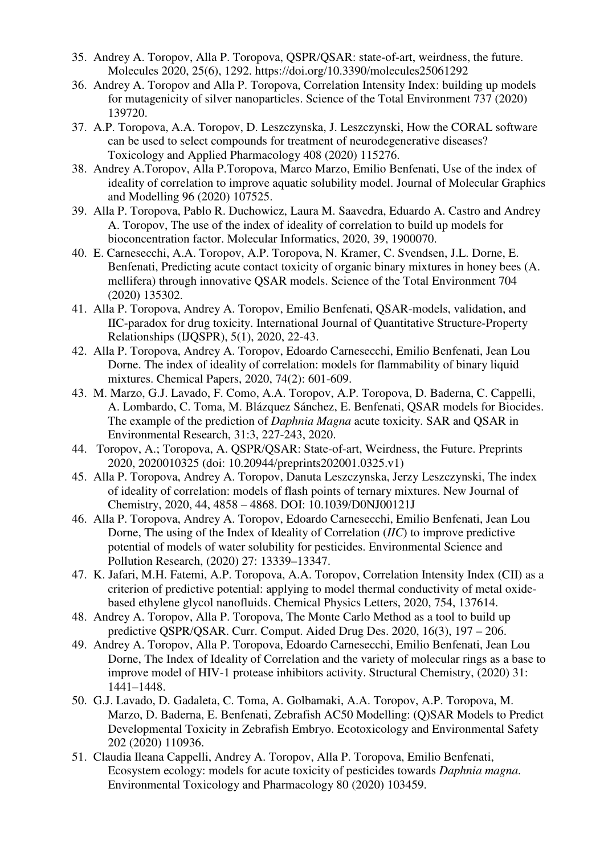- 35. Andrey A. Toropov, Alla P. Toropova, QSPR/QSAR: state-of-art, weirdness, the future. Molecules 2020, 25(6), 1292. https://doi.org/10.3390/molecules25061292
- 36. Andrey A. Toropov and Alla P. Toropova, Correlation Intensity Index: building up models for mutagenicity of silver nanoparticles. Science of the Total Environment 737 (2020) 139720.
- 37. A.P. Toropova, A.A. Toropov, D. Leszczynska, J. Leszczynski, How the CORAL software can be used to select compounds for treatment of neurodegenerative diseases? Toxicology and Applied Pharmacology 408 (2020) 115276.
- 38. Andrey A.Toropov, Alla P.Toropova, Marco Marzo, Emilio Benfenati, Use of the index of ideality of correlation to improve aquatic solubility model. Journal of Molecular Graphics and Modelling 96 (2020) 107525.
- 39. Alla P. Toropova, Pablo R. Duchowicz, Laura M. Saavedra, Eduardo A. Castro and Andrey A. Toropov, The use of the index of ideality of correlation to build up models for bioconcentration factor. Molecular Informatics, 2020, 39, 1900070.
- 40. E. Carnesecchi, A.A. Toropov, A.P. Toropova, N. Kramer, C. Svendsen, J.L. Dorne, E. Benfenati, Predicting acute contact toxicity of organic binary mixtures in honey bees (A. mellifera) through innovative QSAR models. Science of the Total Environment 704 (2020) 135302.
- 41. Alla P. Toropova, Andrey A. Toropov, Emilio Benfenati, QSAR-models, validation, and IIC-paradox for drug toxicity. International Journal of Quantitative Structure-Property Relationships (IJQSPR), 5(1), 2020, 22-43.
- 42. Alla P. Toropova, Andrey A. Toropov, Edoardo Carnesecchi, Emilio Benfenati, Jean Lou Dorne. The index of ideality of correlation: models for flammability of binary liquid mixtures. Chemical Papers, 2020, 74(2): 601-609.
- 43. M. Marzo, G.J. Lavado, F. Como, A.A. Toropov, A.P. Toropova, D. Baderna, C. Cappelli, A. Lombardo, C. Toma, M. Blázquez Sánchez, E. Benfenati, QSAR models for Biocides. The example of the prediction of *Daphnia Magna* acute toxicity. SAR and QSAR in Environmental Research, 31:3, 227-243, 2020.
- 44. Toropov, A.; Toropova, A. QSPR/QSAR: State-of-art, Weirdness, the Future. Preprints 2020, 2020010325 (doi: 10.20944/preprints202001.0325.v1)
- 45. Alla P. Toropova, Andrey A. Toropov, Danuta Leszczynska, Jerzy Leszczynski, The index of ideality of correlation: models of flash points of ternary mixtures. New Journal of Chemistry, 2020, 44, 4858 – 4868. DOI: 10.1039/D0NJ00121J
- 46. Alla P. Toropova, Andrey A. Toropov, Edoardo Carnesecchi, Emilio Benfenati, Jean Lou Dorne, The using of the Index of Ideality of Correlation (*IIC*) to improve predictive potential of models of water solubility for pesticides. Environmental Science and Pollution Research, (2020) 27: 13339–13347.
- 47. K. Jafari, M.H. Fatemi, A.P. Toropova, A.A. Toropov, Correlation Intensity Index (CII) as a criterion of predictive potential: applying to model thermal conductivity of metal oxidebased ethylene glycol nanofluids. Chemical Physics Letters, 2020, 754, 137614.
- 48. Andrey A. Toropov, Alla P. Toropova, The Monte Carlo Method as a tool to build up predictive QSPR/QSAR. Curr. Comput. Aided Drug Des. 2020, 16(3), 197 – 206.
- 49. Andrey A. Toropov, Alla P. Toropova, Edoardo Carnesecchi, Emilio Benfenati, Jean Lou Dorne, The Index of Ideality of Correlation and the variety of molecular rings as a base to improve model of HIV-1 protease inhibitors activity. Structural Chemistry, (2020) 31: 1441–1448.
- 50. G.J. Lavado, D. Gadaleta, C. Toma, A. Golbamaki, A.A. Toropov, A.P. Toropova, M. Marzo, D. Baderna, E. Benfenati, Zebrafish AC50 Modelling: (Q)SAR Models to Predict Developmental Toxicity in Zebrafish Embryo. Ecotoxicology and Environmental Safety 202 (2020) 110936.
- 51. Claudia Ileana Cappelli, Andrey A. Toropov, Alla P. Toropova, Emilio Benfenati, Ecosystem ecology: models for acute toxicity of pesticides towards *Daphnia magna*. Environmental Toxicology and Pharmacology 80 (2020) 103459.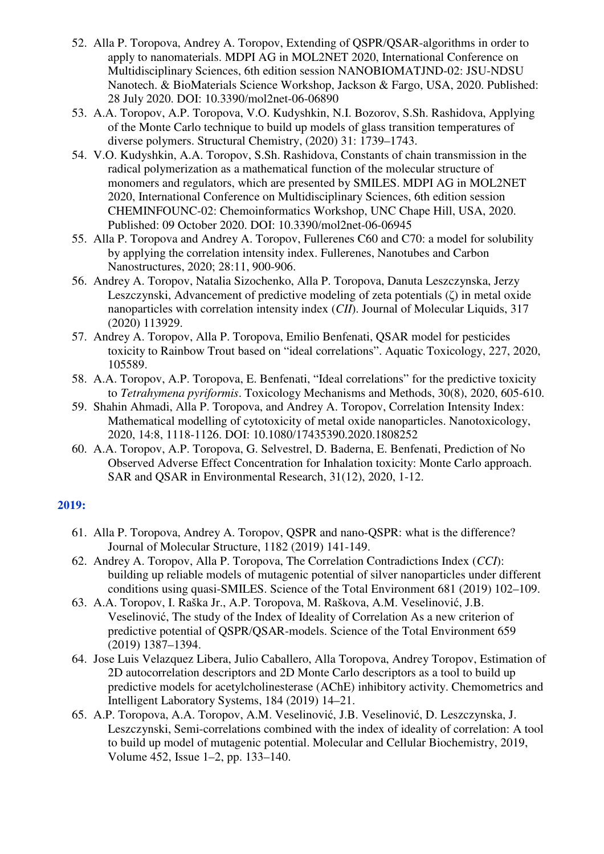- 52. Alla P. Toropova, Andrey A. Toropov, Extending of QSPR/QSAR-algorithms in order to apply to nanomaterials. MDPI AG in MOL2NET 2020, International Conference on Multidisciplinary Sciences, 6th edition session NANOBIOMATJND-02: JSU-NDSU Nanotech. & BioMaterials Science Workshop, Jackson & Fargo, USA, 2020. Published: 28 July 2020. DOI: 10.3390/mol2net-06-06890
- 53. A.A. Toropov, A.P. Toropova, V.O. Kudyshkin, N.I. Bozorov, S.Sh. Rashidova, Applying of the Monte Carlo technique to build up models of glass transition temperatures of diverse polymers. Structural Chemistry, (2020) 31: 1739–1743.
- 54. V.O. Kudyshkin, A.A. Toropov, S.Sh. Rashidova, Constants of chain transmission in the radical polymerization as a mathematical function of the molecular structure of monomers and regulators, which are presented by SMILES. MDPI AG in MOL2NET 2020, International Conference on Multidisciplinary Sciences, 6th edition session CHEMINFOUNC-02: Chemoinformatics Workshop, UNC Chape Hill, USA, 2020. Published: 09 October 2020. DOI: 10.3390/mol2net-06-06945
- 55. Alla P. Toropova and Andrey A. Toropov, Fullerenes C60 and C70: a model for solubility by applying the correlation intensity index. Fullerenes, Nanotubes and Carbon Nanostructures, 2020; 28:11, 900-906.
- 56. Andrey A. Toropov, Natalia Sizochenko, Alla P. Toropova, Danuta Leszczynska, Jerzy Leszczynski, Advancement of predictive modeling of zeta potentials (ζ) in metal oxide nanoparticles with correlation intensity index (*CII*). Journal of Molecular Liquids, 317 (2020) 113929.
- 57. Andrey A. Toropov, Alla P. Toropova, Emilio Benfenati, QSAR model for pesticides toxicity to Rainbow Trout based on "ideal correlations". Aquatic Toxicology, 227, 2020, 105589.
- 58. A.A. Toropov, A.P. Toropova, E. Benfenati, "Ideal correlations" for the predictive toxicity to *Tetrahymena pyriformis*. Toxicology Mechanisms and Methods, 30(8), 2020, 605-610.
- 59. Shahin Ahmadi, Alla P. Toropova, and Andrey A. Toropov, Correlation Intensity Index: Mathematical modelling of cytotoxicity of metal oxide nanoparticles. Nanotoxicology, 2020, 14:8, 1118-1126. DOI: 10.1080/17435390.2020.1808252
- 60. A.A. Toropov, A.P. Toropova, G. Selvestrel, D. Baderna, E. Benfenati, Prediction of No Observed Adverse Effect Concentration for Inhalation toxicity: Monte Carlo approach. SAR and QSAR in Environmental Research, 31(12), 2020, 1-12.

- 61. Alla P. Toropova, Andrey A. Toropov, QSPR and nano-QSPR: what is the difference? Journal of Molecular Structure, 1182 (2019) 141-149.
- 62. Andrey A. Toropov, Alla P. Toropova, The Correlation Contradictions Index (*CCI*): building up reliable models of mutagenic potential of silver nanoparticles under different conditions using quasi-SMILES. Science of the Total Environment 681 (2019) 102–109.
- 63. A.A. Toropov, I. Raška Jr., A.P. Toropova, M. Raškova, A.M. Veselinović, J.B. Veselinović, The study of the Index of Ideality of Correlation As a new criterion of predictive potential of QSPR/QSAR-models. Science of the Total Environment 659 (2019) 1387–1394.
- 64. Jose Luis Velazquez Libera, Julio Caballero, Alla Toropova, Andrey Toropov, Estimation of 2D autocorrelation descriptors and 2D Monte Carlo descriptors as a tool to build up predictive models for acetylcholinesterase (AChE) inhibitory activity. Chemometrics and Intelligent Laboratory Systems, 184 (2019) 14–21.
- 65. A.P. Toropova, A.A. Toropov, A.M. Veselinović, J.B. Veselinović, D. Leszczynska, J. Leszczynski, Semi-correlations combined with the index of ideality of correlation: A tool to build up model of mutagenic potential. Molecular and Cellular Biochemistry, 2019, Volume 452, Issue 1–2, pp. 133–140.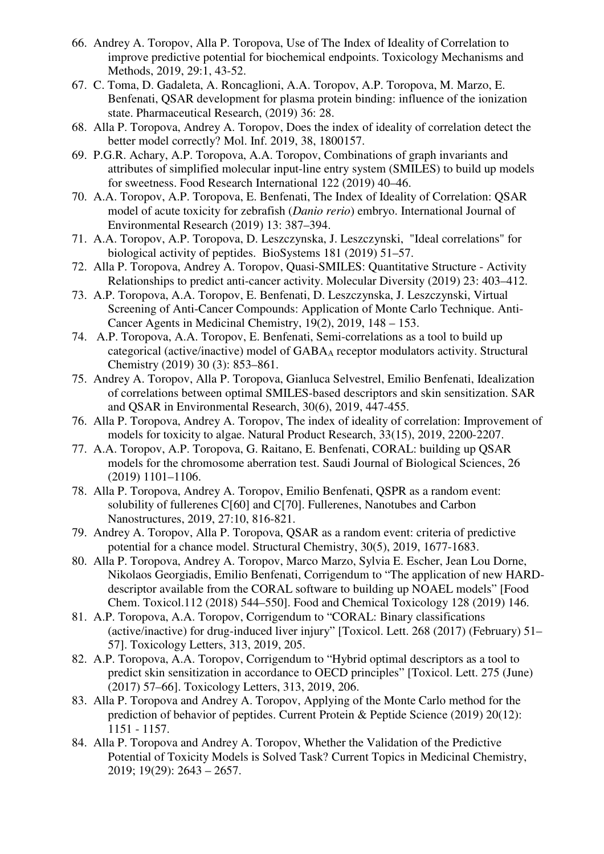- 66. Andrey A. Toropov, Alla P. Toropova, Use of The Index of Ideality of Correlation to improve predictive potential for biochemical endpoints. Toxicology Mechanisms and Methods, 2019, 29:1, 43-52.
- 67. C. Toma, D. Gadaleta, A. Roncaglioni, A.A. Toropov, A.P. Toropova, M. Marzo, E. Benfenati, QSAR development for plasma protein binding: influence of the ionization state. Pharmaceutical Research, (2019) 36: 28.
- 68. Alla P. Toropova, Andrey A. Toropov, Does the index of ideality of correlation detect the better model correctly? Mol. Inf. 2019, 38, 1800157.
- 69. P.G.R. Achary, A.P. Toropova, A.A. Toropov, Combinations of graph invariants and attributes of simplified molecular input-line entry system (SMILES) to build up models for sweetness. Food Research International 122 (2019) 40–46.
- 70. A.A. Toropov, A.P. Toropova, E. Benfenati, The Index of Ideality of Correlation: QSAR model of acute toxicity for zebrafish (*Danio rerio*) embryo. International Journal of Environmental Research (2019) 13: 387–394.
- 71. A.A. Toropov, A.P. Toropova, D. Leszczynska, J. Leszczynski, "Ideal correlations" for biological activity of peptides. BioSystems 181 (2019) 51–57.
- 72. Alla P. Toropova, Andrey A. Toropov, Quasi-SMILES: Quantitative Structure Activity Relationships to predict anti-cancer activity. Molecular Diversity (2019) 23: 403–412.
- 73. A.P. Toropova, A.A. Toropov, E. Benfenati, D. Leszczynska, J. Leszczynski, Virtual Screening of Anti-Cancer Compounds: Application of Monte Carlo Technique. Anti-Cancer Agents in Medicinal Chemistry, 19(2), 2019, 148 – 153.
- 74. A.P. Toropova, A.A. Toropov, E. Benfenati, Semi-correlations as a tool to build up categorical (active/inactive) model of GABAA receptor modulators activity. Structural Chemistry (2019) 30 (3): 853–861.
- 75. Andrey A. Toropov, Alla P. Toropova, Gianluca Selvestrel, Emilio Benfenati, Idealization of correlations between optimal SMILES-based descriptors and skin sensitization. SAR and QSAR in Environmental Research, 30(6), 2019, 447-455.
- 76. Alla P. Toropova, Andrey A. Toropov, The index of ideality of correlation: Improvement of models for toxicity to algae. Natural Product Research, 33(15), 2019, 2200-2207.
- 77. A.A. Toropov, A.P. Toropova, G. Raitano, E. Benfenati, CORAL: building up QSAR models for the chromosome aberration test. Saudi Journal of Biological Sciences, 26 (2019) 1101–1106.
- 78. Alla P. Toropova, Andrey A. Toropov, Emilio Benfenati, QSPR as a random event: solubility of fullerenes C[60] and C[70]. Fullerenes, Nanotubes and Carbon Nanostructures, 2019, 27:10, 816-821.
- 79. Andrey A. Toropov, Alla P. Toropova, QSAR as a random event: criteria of predictive potential for a chance model. Structural Chemistry, 30(5), 2019, 1677-1683.
- 80. Alla P. Toropova, Andrey A. Toropov, Marco Marzo, Sylvia E. Escher, Jean Lou Dorne, Nikolaos Georgiadis, Emilio Benfenati, Corrigendum to "The application of new HARDdescriptor available from the CORAL software to building up NOAEL models" [Food Chem. Toxicol.112 (2018) 544–550]. Food and Chemical Toxicology 128 (2019) 146.
- 81. A.P. Toropova, A.A. Toropov, Corrigendum to "CORAL: Binary classifications (active/inactive) for drug-induced liver injury" [Toxicol. Lett. 268 (2017) (February) 51– 57]. Toxicology Letters, 313, 2019, 205.
- 82. A.P. Toropova, A.A. Toropov, Corrigendum to "Hybrid optimal descriptors as a tool to predict skin sensitization in accordance to OECD principles" [Toxicol. Lett. 275 (June) (2017) 57–66]. Toxicology Letters, 313, 2019, 206.
- 83. Alla P. Toropova and Andrey A. Toropov, Applying of the Monte Carlo method for the prediction of behavior of peptides. Current Protein & Peptide Science (2019) 20(12): 1151 - 1157.
- 84. Alla P. Toropova and Andrey A. Toropov, Whether the Validation of the Predictive Potential of Toxicity Models is Solved Task? Current Topics in Medicinal Chemistry, 2019; 19(29): 2643 – 2657.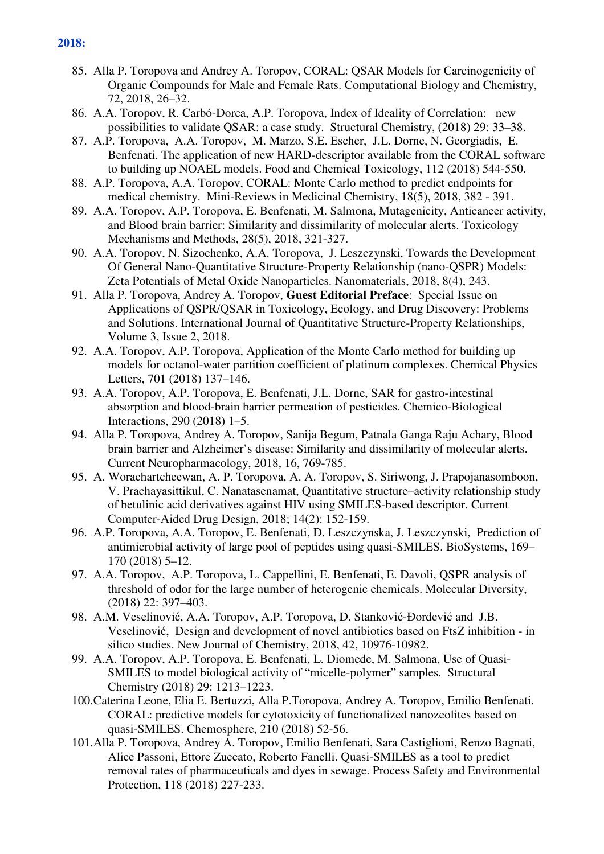- 85. Alla P. Toropova and Andrey A. Toropov, CORAL: QSAR Models for Carcinogenicity of Organic Compounds for Male and Female Rats. Computational Biology and Chemistry, 72, 2018, 26–32.
- 86. A.A. Toropov, R. Carbó-Dorca, A.P. Toropova, Index of Ideality of Correlation: new possibilities to validate QSAR: a case study. Structural Chemistry, (2018) 29: 33–38.
- 87. A.P. Toropova, A.A. Toropov, M. Marzo, S.E. Escher, J.L. Dorne, N. Georgiadis, E. Benfenati. The application of new HARD-descriptor available from the CORAL software to building up NOAEL models. Food and Chemical Toxicology, 112 (2018) 544-550.
- 88. A.P. Toropova, A.A. Toropov, CORAL: Monte Carlo method to predict endpoints for medical chemistry. Mini-Reviews in Medicinal Chemistry, 18(5), 2018, 382 - 391.
- 89. A.A. Toropov, A.P. Toropova, E. Benfenati, M. Salmona, Mutagenicity, Anticancer activity, and Blood brain barrier: Similarity and dissimilarity of molecular alerts. Toxicology Mechanisms and Methods, 28(5), 2018, 321-327.
- 90. A.A. Toropov, N. Sizochenko, A.A. Toropova, J. Leszczynski, Towards the Development Of General Nano-Quantitative Structure-Property Relationship (nano-QSPR) Models: Zeta Potentials of Metal Oxide Nanoparticles. Nanomaterials, 2018, 8(4), 243.
- 91. Alla P. Toropova, Andrey A. Toropov, **Guest Editorial Preface**: Special Issue on Applications of QSPR/QSAR in Toxicology, Ecology, and Drug Discovery: Problems and Solutions. International Journal of Quantitative Structure-Property Relationships, Volume 3, Issue 2, 2018.
- 92. A.A. Toropov, A.P. Toropova, Application of the Monte Carlo method for building up models for octanol-water partition coefficient of platinum complexes. Chemical Physics Letters, 701 (2018) 137–146.
- 93. A.A. Toropov, A.P. Toropova, E. Benfenati, J.L. Dorne, SAR for gastro-intestinal absorption and blood-brain barrier permeation of pesticides. Chemico-Biological Interactions, 290 (2018) 1–5.
- 94. Alla P. Toropova, Andrey A. Toropov, Sanija Begum, Patnala Ganga Raju Achary, Blood brain barrier and Alzheimer's disease: Similarity and dissimilarity of molecular alerts. Current Neuropharmacology, 2018, 16, 769-785.
- 95. A. Worachartcheewan, A. P. Toropova, A. A. Toropov, S. Siriwong, J. Prapojanasomboon, V. Prachayasittikul, C. Nanatasenamat, Quantitative structure–activity relationship study of betulinic acid derivatives against HIV using SMILES-based descriptor. Current Computer-Aided Drug Design, 2018; 14(2): 152-159.
- 96. A.P. Toropova, A.A. Toropov, E. Benfenati, D. Leszczynska, J. Leszczynski, Prediction of antimicrobial activity of large pool of peptides using quasi-SMILES. BioSystems, 169– 170 (2018) 5–12.
- 97. A.A. Toropov, A.P. Toropova, L. Cappellini, E. Benfenati, E. Davoli, QSPR analysis of threshold of odor for the large number of heterogenic chemicals. Molecular Diversity, (2018) 22: 397–403.
- 98. A.M. Veselinović, A.A. Toropov, A.P. Toropova, D. Stanković-Đorđević and J.B. Veselinović, Design and development of novel antibiotics based on FtsZ inhibition - in silico studies. New Journal of Chemistry, 2018, 42, 10976-10982.
- 99. A.A. Toropov, A.P. Toropova, E. Benfenati, L. Diomede, M. Salmona, Use of Quasi-SMILES to model biological activity of "micelle-polymer" samples. Structural Chemistry (2018) 29: 1213–1223.
- 100.Caterina Leone, Elia E. Bertuzzi, Alla P.Toropova, Andrey A. Toropov, Emilio Benfenati. CORAL: predictive models for cytotoxicity of functionalized nanozeolites based on quasi-SMILES. Chemosphere, 210 (2018) 52-56.
- 101.Alla P. Toropova, Andrey A. Toropov, Emilio Benfenati, Sara Castiglioni, Renzo Bagnati, Alice Passoni, Ettore Zuccato, Roberto Fanelli. Quasi-SMILES as a tool to predict removal rates of pharmaceuticals and dyes in sewage. Process Safety and Environmental Protection, 118 (2018) 227-233.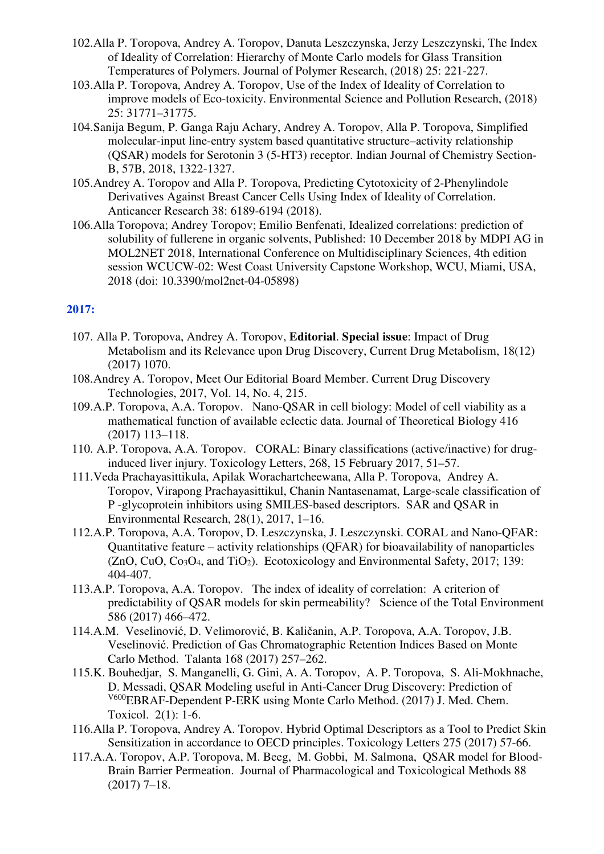- 102.Alla P. Toropova, Andrey A. Toropov, Danuta Leszczynska, Jerzy Leszczynski, The Index of Ideality of Correlation: Hierarchy of Monte Carlo models for Glass Transition Temperatures of Polymers. Journal of Polymer Research, (2018) 25: 221-227.
- 103.Alla P. Toropova, Andrey A. Toropov, Use of the Index of Ideality of Correlation to improve models of Eco-toxicity. Environmental Science and Pollution Research, (2018) 25: 31771–31775.
- 104.Sanija Begum, P. Ganga Raju Achary, Andrey A. Toropov, Alla P. Toropova, Simplified molecular-input line-entry system based quantitative structure–activity relationship (QSAR) models for Serotonin 3 (5-HT3) receptor. Indian Journal of Chemistry Section-B, 57B, 2018, 1322-1327.
- 105.Andrey A. Toropov and Alla P. Toropova, Predicting Cytotoxicity of 2-Phenylindole Derivatives Against Breast Cancer Cells Using Index of Ideality of Correlation. Anticancer Research 38: 6189-6194 (2018).
- 106.Alla Toropova; Andrey Toropov; Emilio Benfenati, Idealized correlations: prediction of solubility of fullerene in organic solvents, Published: 10 December 2018 by MDPI AG in MOL2NET 2018, International Conference on Multidisciplinary Sciences, 4th edition session WCUCW-02: West Coast University Capstone Workshop, WCU, Miami, USA, 2018 (doi: 10.3390/mol2net-04-05898)

- 107. Alla P. Toropova, Andrey A. Toropov, **Editorial**. **Special issue**: Impact of Drug Metabolism and its Relevance upon Drug Discovery, Current Drug Metabolism, 18(12) (2017) 1070.
- 108.Andrey A. Toropov, Meet Our Editorial Board Member. Current Drug Discovery Technologies, 2017, Vol. 14, No. 4, 215.
- 109.A.P. Toropova, A.A. Toropov. Nano-QSAR in cell biology: Model of cell viability as a mathematical function of available eclectic data. Journal of Theoretical Biology 416 (2017) 113–118.
- 110. A.P. Toropova, A.A. Toropov. CORAL: Binary classifications (active/inactive) for druginduced liver injury. Toxicology Letters, 268, 15 February 2017, 51–57.
- 111.Veda Prachayasittikula, Apilak Worachartcheewana, Alla P. Toropova, Andrey A. Toropov, Virapong Prachayasittikul, Chanin Nantasenamat, Large-scale classification of P -glycoprotein inhibitors using SMILES-based descriptors. SAR and QSAR in Environmental Research, 28(1), 2017, 1–16.
- 112.A.P. Toropova, A.A. Toropov, D. Leszczynska, J. Leszczynski. CORAL and Nano-QFAR: Quantitative feature – activity relationships (QFAR) for bioavailability of nanoparticles  $(ZnO, CuO, Co<sub>3</sub>O<sub>4</sub>, and TiO<sub>2</sub>)$ . Ecotoxicology and Environmental Safety, 2017; 139: 404-407.
- 113.A.P. Toropova, A.A. Toropov. The index of ideality of correlation: A criterion of predictability of QSAR models for skin permeability? Science of the Total Environment 586 (2017) 466–472.
- 114.A.M. Veselinović, D. Velimorović, B. Kaličanin, A.P. Toropova, A.A. Toropov, J.B. Veselinović. Prediction of Gas Chromatographic Retention Indices Based on Monte Carlo Method. Talanta 168 (2017) 257–262.
- 115.K. Bouhedjar, S. Manganelli, G. Gini, A. A. Toropov, A. P. Toropova, S. Ali-Mokhnache, D. Messadi, QSAR Modeling useful in Anti-Cancer Drug Discovery: Prediction of V600EBRAF-Dependent P-ERK using Monte Carlo Method. (2017) J. Med. Chem. Toxicol. 2(1): 1-6.
- 116.Alla P. Toropova, Andrey A. Toropov. Hybrid Optimal Descriptors as a Tool to Predict Skin Sensitization in accordance to OECD principles. Toxicology Letters 275 (2017) 57-66.
- 117.A.A. Toropov, A.P. Toropova, M. Beeg, M. Gobbi, M. Salmona, QSAR model for Blood-Brain Barrier Permeation. Journal of Pharmacological and Toxicological Methods 88 (2017) 7–18.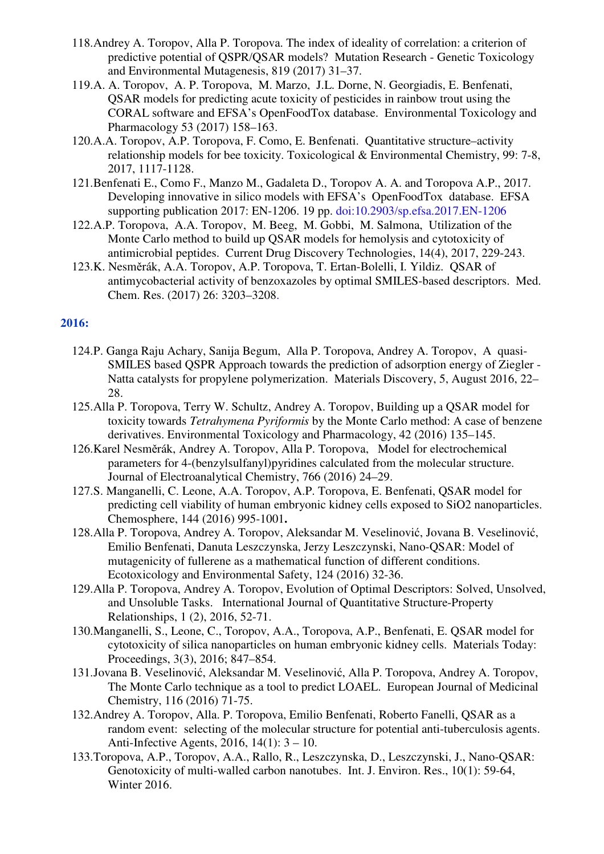- 118.Andrey A. Toropov, Alla P. Toropova. The index of ideality of correlation: a criterion of predictive potential of QSPR/QSAR models? Mutation Research - Genetic Toxicology and Environmental Mutagenesis, 819 (2017) 31–37.
- 119.A. A. Toropov, A. P. Toropova, M. Marzo, J.L. Dorne, N. Georgiadis, E. Benfenati, QSAR models for predicting acute toxicity of pesticides in rainbow trout using the CORAL software and EFSA's OpenFoodTox database. Environmental Toxicology and Pharmacology 53 (2017) 158–163.
- 120.A.A. Toropov, A.P. Toropova, F. Como, E. Benfenati. Quantitative structure–activity relationship models for bee toxicity. Toxicological & Environmental Chemistry, 99: 7-8, 2017, 1117-1128.
- 121.Benfenati E., Como F., Manzo M., Gadaleta D., Toropov A. A. and Toropova A.P., 2017. Developing innovative in silico models with EFSA's OpenFoodTox database. EFSA supporting publication 2017: EN-1206. 19 pp. doi:10.2903/sp.efsa.2017.EN-1206
- 122.A.P. Toropova, A.A. Toropov, M. Beeg, M. Gobbi, M. Salmona, Utilization of the Monte Carlo method to build up QSAR models for hemolysis and cytotoxicity of antimicrobial peptides. Current Drug Discovery Technologies, 14(4), 2017, 229-243.
- 123.K. Nesměrák, A.A. Toropov, A.P. Toropova, T. Ertan-Bolelli, I. Yildiz. QSAR of antimycobacterial activity of benzoxazoles by optimal SMILES-based descriptors. Med. Chem. Res. (2017) 26: 3203–3208.

- 124.P. Ganga Raju Achary, Sanija Begum, Alla P. Toropova, Andrey A. Toropov, A quasi-SMILES based QSPR Approach towards the prediction of adsorption energy of Ziegler - Natta catalysts for propylene polymerization. Materials Discovery, 5, August 2016, 22– 28.
- 125.Alla P. Toropova, Terry W. Schultz, Andrey A. Toropov, Building up a QSAR model for toxicity towards *Tetrahymena Pyriformis* by the Monte Carlo method: A case of benzene derivatives. Environmental Toxicology and Pharmacology, 42 (2016) 135–145.
- 126.Karel Nesměrák, Andrey A. Toropov, Alla P. Toropova, Model for electrochemical parameters for 4-(benzylsulfanyl)pyridines calculated from the molecular structure. Journal of Electroanalytical Chemistry, 766 (2016) 24–29.
- 127.S. Manganelli, C. Leone, A.A. Toropov, A.P. Toropova, E. Benfenati, QSAR model for predicting cell viability of human embryonic kidney cells exposed to SiO2 nanoparticles. Chemosphere, 144 (2016) 995-1001**.**
- 128.Alla P. Toropova, Andrey A. Toropov, Aleksandar M. Veselinović, Jovana B. Veselinović, Emilio Benfenati, Danuta Leszczynska, Jerzy Leszczynski, Nano-QSAR: Model of mutagenicity of fullerene as a mathematical function of different conditions. Ecotoxicology and Environmental Safety, 124 (2016) 32-36.
- 129.Alla P. Toropova, Andrey A. Toropov, Evolution of Optimal Descriptors: Solved, Unsolved, and Unsoluble Tasks. International Journal of Quantitative Structure-Property Relationships, 1 (2), 2016, 52-71.
- 130.Manganelli, S., Leone, C., Toropov, A.A., Toropova, A.P., Benfenati, E. QSAR model for cytotoxicity of silica nanoparticles on human embryonic kidney cells. Materials Today: Proceedings, 3(3), 2016; 847–854.
- 131.Jovana B. Veselinović, Aleksandar M. Veselinović, Alla P. Toropova, Andrey A. Toropov, The Monte Carlo technique as a tool to predict LOAEL. European Journal of Medicinal Chemistry, 116 (2016) 71-75.
- 132.Andrey A. Toropov, Alla. P. Toropova, Emilio Benfenati, Roberto Fanelli, QSAR as a random event: selecting of the molecular structure for potential anti-tuberculosis agents. Anti-Infective Agents, 2016, 14(1): 3 – 10.
- 133.Toropova, A.P., Toropov, A.A., Rallo, R., Leszczynska, D., Leszczynski, J., Nano-QSAR: Genotoxicity of multi-walled carbon nanotubes. Int. J. Environ. Res., 10(1): 59-64, Winter 2016.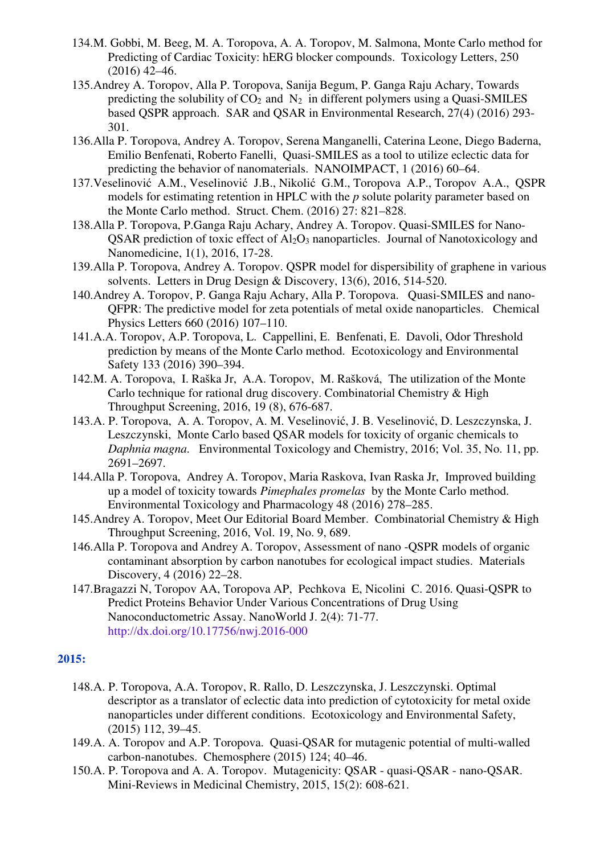- 134.M. Gobbi, M. Beeg, M. A. Toropova, A. A. Toropov, M. Salmona, Monte Carlo method for Predicting of Cardiac Toxicity: hERG blocker compounds. Toxicology Letters, 250  $(2016)$  42–46.
- 135.Andrey A. Toropov, Alla P. Toropova, Sanija Begum, P. Ganga Raju Achary, Towards predicting the solubility of  $CO<sub>2</sub>$  and  $N<sub>2</sub>$  in different polymers using a Quasi-SMILES based QSPR approach. SAR and QSAR in Environmental Research, 27(4) (2016) 293- 301.
- 136.Alla P. Toropova, Andrey A. Toropov, Serena Manganelli, Caterina Leone, Diego Baderna, Emilio Benfenati, Roberto Fanelli, Quasi-SMILES as a tool to utilize eclectic data for predicting the behavior of nanomaterials. NANOIMPACT, 1 (2016) 60–64.
- 137.Veselinović A.M., Veselinović J.B., Nikolić G.M., Toropova A.P., Toropov A.A., QSPR models for estimating retention in HPLC with the *p* solute polarity parameter based on the Monte Carlo method. Struct. Chem. (2016) 27: 821–828.
- 138.Alla P. Toropova, P.Ganga Raju Achary, Andrey A. Toropov. Quasi-SMILES for Nano- $OSAR$  prediction of toxic effect of  $Al_2O_3$  nanoparticles. Journal of Nanotoxicology and Nanomedicine, 1(1), 2016, 17-28.
- 139.Alla P. Toropova, Andrey A. Toropov. QSPR model for dispersibility of graphene in various solvents. Letters in Drug Design & Discovery, 13(6), 2016, 514-520.
- 140.Andrey A. Toropov, P. Ganga Raju Achary, Alla P. Toropova. Quasi-SMILES and nano-QFPR: The predictive model for zeta potentials of metal oxide nanoparticles. Chemical Physics Letters 660 (2016) 107–110.
- 141.A.A. Toropov, A.P. Toropova, L. Cappellini, E. Benfenati, E. Davoli, Odor Threshold prediction by means of the Monte Carlo method. Ecotoxicology and Environmental Safety 133 (2016) 390–394.
- 142.M. A. Toropova, I. Raška Jr, A.A. Toropov, M. Rašková, The utilization of the Monte Carlo technique for rational drug discovery. Combinatorial Chemistry & High Throughput Screening, 2016, 19 (8), 676-687.
- 143.A. P. Toropova, A. A. Toropov, A. M. Veselinović, J. B. Veselinović, D. Leszczynska, J. Leszczynski, Monte Carlo based QSAR models for toxicity of organic chemicals to *Daphnia magna*. Environmental Toxicology and Chemistry, 2016; Vol. 35, No. 11, pp. 2691–2697.
- 144.Alla P. Toropova, Andrey A. Toropov, Maria Raskova, Ivan Raska Jr, Improved building up a model of toxicity towards *Pimephales promelas* by the Monte Carlo method. Environmental Toxicology and Pharmacology 48 (2016) 278–285.
- 145.Andrey A. Toropov, Meet Our Editorial Board Member. Combinatorial Chemistry & High Throughput Screening, 2016, Vol. 19, No. 9, 689.
- 146.Alla P. Toropova and Andrey A. Toropov, Assessment of nano -QSPR models of organic contaminant absorption by carbon nanotubes for ecological impact studies. Materials Discovery, 4 (2016) 22–28.
- 147.Bragazzi N, Toropov AA, Toropova AP, Pechkova E, Nicolini C. 2016. Quasi-QSPR to Predict Proteins Behavior Under Various Concentrations of Drug Using Nanoconductometric Assay. NanoWorld J. 2(4): 71-77. http://dx.doi.org/10.17756/nwj.2016-000

- 148.A. P. Toropova, A.A. Toropov, R. Rallo, D. Leszczynska, J. Leszczynski. Optimal descriptor as a translator of eclectic data into prediction of cytotoxicity for metal oxide nanoparticles under different conditions. Ecotoxicology and Environmental Safety, (2015) 112, 39–45.
- 149.A. A. Toropov and A.P. Toropova. Quasi-QSAR for mutagenic potential of multi-walled carbon-nanotubes. Chemosphere (2015) 124; 40–46.
- 150.A. P. Toropova and A. A. Toropov. Mutagenicity: QSAR quasi-QSAR nano-QSAR. Mini-Reviews in Medicinal Chemistry, 2015, 15(2): 608-621.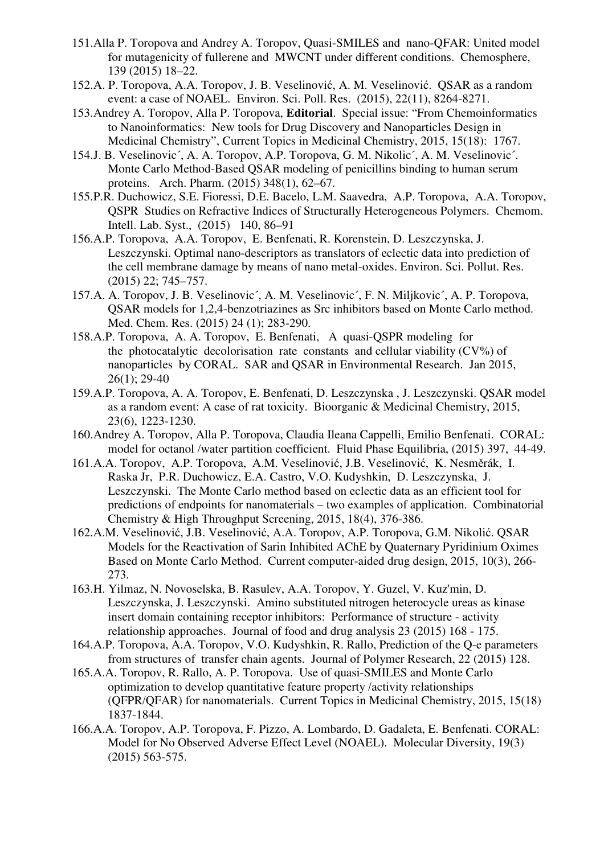- 151.Alla P. Toropova and Andrey A. Toropov, Quasi-SMILES and nano-QFAR: United model for mutagenicity of fullerene and MWCNT under different conditions. Chemosphere, 139 (2015) 18–22.
- 152.A. P. Toropova, A.A. Toropov, J. B. Veselinović, A. M. Veselinović. QSAR as a random event: a case of NOAEL. Environ. Sci. Poll. Res. (2015), 22(11), 8264-8271.
- 153.Andrey A. Toropov, Alla P. Toropova, **Editorial**. Special issue: "From Chemoinformatics to Nanoinformatics: New tools for Drug Discovery and Nanoparticles Design in Medicinal Chemistry", Current Topics in Medicinal Chemistry, 2015, 15(18): 1767.
- 154.J. B. Veselinovic´, A. A. Toropov, A.P. Toropova, G. M. Nikolic´, A. M. Veselinovic´. Monte Carlo Method-Based QSAR modeling of penicillins binding to human serum proteins. Arch. Pharm. (2015) 348(1), 62–67.
- 155.P.R. Duchowicz, S.E. Fioressi, D.E. Bacelo, L.M. Saavedra, A.P. Toropova, A.A. Toropov, QSPR Studies on Refractive Indices of Structurally Heterogeneous Polymers. Chemom. Intell. Lab. Syst., (2015) 140, 86–91
- 156.A.P. Toropova, A.A. Toropov, E. Benfenati, R. Korenstein, D. Leszczynska, J. Leszczynski. Optimal nano-descriptors as translators of eclectic data into prediction of the cell membrane damage by means of nano metal-oxides. Environ. Sci. Pollut. Res. (2015) 22; 745–757.
- 157.A. A. Toropov, J. B. Veselinovic´, A. M. Veselinovic´, F. N. Miljkovic´, A. P. Toropova, QSAR models for 1,2,4-benzotriazines as Src inhibitors based on Monte Carlo method. Med. Chem. Res. (2015) 24 (1); 283-290.
- 158.A.P. Toropova, A. A. Toropov, E. Benfenati, A quasi-QSPR modeling for the photocatalytic decolorisation rate constants and cellular viability  $(CV\%)$  of nanoparticles by CORAL. SAR and QSAR in Environmental Research. Jan 2015, 26(1); 29-40
- 159.A.P. Toropova, A. A. Toropov, E. Benfenati, D. Leszczynska , J. Leszczynski. QSAR model as a random event: A case of rat toxicity. Bioorganic & Medicinal Chemistry, 2015, 23(6), 1223-1230.
- 160.Andrey A. Toropov, Alla P. Toropova, Claudia Ileana Cappelli, Emilio Benfenati. CORAL: model for octanol /water partition coefficient. Fluid Phase Equilibria, (2015) 397, 44-49.
- 161.A.A. Toropov, A.P. Toropova, A.M. Veselinović, J.B. Veselinović, K. Nesměrák, I. Raska Jr, P.R. Duchowicz, E.A. Castro, V.O. Kudyshkin, D. Leszczynska, J. Leszczynski. The Monte Carlo method based on eclectic data as an efficient tool for predictions of endpoints for nanomaterials – two examples of application. Combinatorial Chemistry & High Throughput Screening, 2015, 18(4), 376-386.
- 162.A.M. Veselinović, J.B. Veselinović, A.A. Toropov, A.P. Toropova, G.M. Nikolić. QSAR Models for the Reactivation of Sarin Inhibited AChE by Quaternary Pyridinium Oximes Based on Monte Carlo Method. Current computer-aided drug design, 2015, 10(3), 266- 273.
- 163.H. Yilmaz, N. Novoselska, B. Rasulev, A.A. Toropov, Y. Guzel, V. Kuz'min, D. Leszczynska, J. Leszczynski. Amino substituted nitrogen heterocycle ureas as kinase insert domain containing receptor inhibitors: Performance of structure - activity relationship approaches. Journal of food and drug analysis 23 (2015) 168 - 175.
- 164.A.P. Toropova, A.A. Toropov, V.O. Kudyshkin, R. Rallo, Prediction of the Q-e parameters from structures of transfer chain agents. Journal of Polymer Research, 22 (2015) 128.
- 165.A.A. Toropov, R. Rallo, A. P. Toropova. Use of quasi-SMILES and Monte Carlo optimization to develop quantitative feature property /activity relationships (QFPR/QFAR) for nanomaterials. Current Topics in Medicinal Chemistry, 2015, 15(18) 1837-1844.
- 166.A.A. Toropov, A.P. Toropova, F. Pizzo, A. Lombardo, D. Gadaleta, E. Benfenati. CORAL: Model for No Observed Adverse Effect Level (NOAEL). Molecular Diversity, 19(3) (2015) 563-575.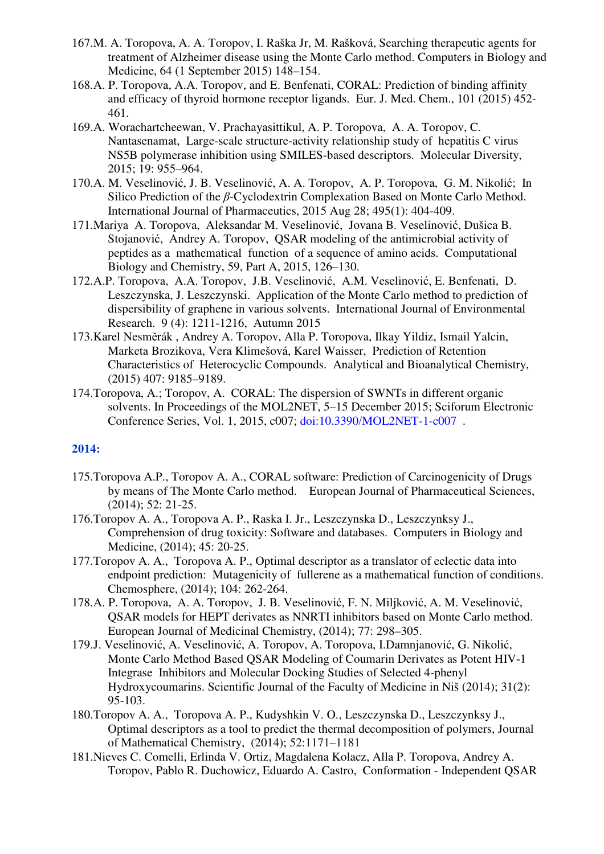- 167.M. A. Toropova, A. A. Toropov, I. Raška Jr, M. Rašková, Searching therapeutic agents for treatment of Alzheimer disease using the Monte Carlo method. Computers in Biology and Medicine, 64 (1 September 2015) 148–154.
- 168.A. P. Toropova, A.A. Toropov, and E. Benfenati, CORAL: Prediction of binding affinity and efficacy of thyroid hormone receptor ligands. Eur. J. Med. Chem., 101 (2015) 452- 461.
- 169.A. Worachartcheewan, V. Prachayasittikul, A. P. Toropova, A. A. Toropov, C. Nantasenamat, Large-scale structure-activity relationship study of hepatitis C virus NS5B polymerase inhibition using SMILES-based descriptors. Molecular Diversity, 2015; 19: 955–964.
- 170.A. M. Veselinović, J. B. Veselinović, A. A. Toropov, A. P. Toropova, G. M. Nikolić; In Silico Prediction of the *β*-Cyclodextrin Complexation Based on Monte Carlo Method. International Journal of Pharmaceutics, 2015 Aug 28; 495(1): 404-409.
- 171.Mariya A. Toropova, Aleksandar M. Veselinović, Jovana B. Veselinović, Dušica B. Stojanović, Andrey A. Toropov, QSAR modeling of the antimicrobial activity of peptides as a mathematical function of a sequence of amino acids. Computational Biology and Chemistry, 59, Part A, 2015, 126–130.
- 172.A.P. Toropova, A.A. Toropov, J.B. Veselinović, A.M. Veselinović, E. Benfenati, D. Leszczynska, J. Leszczynski. Application of the Monte Carlo method to prediction of dispersibility of graphene in various solvents. International Journal of Environmental Research. 9 (4): 1211-1216, Autumn 2015
- 173.Karel Nesměrák , Andrey A. Toropov, Alla P. Toropova, Ilkay Yildiz, Ismail Yalcin, Marketa Brozikova, Vera Klimešová, Karel Waisser, Prediction of Retention Characteristics of Heterocyclic Compounds. Analytical and Bioanalytical Chemistry, (2015) 407: 9185–9189.
- 174.Toropova, A.; Toropov, A. CORAL: The dispersion of SWNTs in different organic solvents. In Proceedings of the MOL2NET, 5–15 December 2015; Sciforum Electronic Conference Series, Vol. 1, 2015, c007; doi:10.3390/MOL2NET-1-c007 .

- 175.Toropova A.P., Toropov A. A., CORAL software: Prediction of Carcinogenicity of Drugs by means of The Monte Carlo method. European Journal of Pharmaceutical Sciences, (2014); 52: 21-25.
- 176.Toropov A. A., Toropova A. P., Raska I. Jr., Leszczynska D., Leszczynksy J., Comprehension of drug toxicity: Software and databases. Computers in Biology and Medicine, (2014); 45: 20-25.
- 177.Toropov A. A., Toropova A. P., Optimal descriptor as a translator of eclectic data into endpoint prediction: Mutagenicity of fullerene as a mathematical function of conditions. Chemosphere, (2014); 104: 262-264.
- 178.A. P. Toropova, A. A. Toropov, J. B. Veselinović, F. N. Miljković, A. M. Veselinović, QSAR models for HEPT derivates as NNRTI inhibitors based on Monte Carlo method. European Journal of Medicinal Chemistry, (2014); 77: 298–305.
- 179.J. Veselinović, A. Veselinović, A. Toropov, A. Toropova, I.Damnjanović, G. Nikolić, Monte Carlo Method Based QSAR Modeling of Coumarin Derivates as Potent HIV‐1 Integrase Inhibitors and Molecular Docking Studies of Selected 4‐phenyl Hydroxycoumarins. Scientific Journal of the Faculty of Medicine in Niš (2014); 31(2): 95-103.
- 180.Toropov A. A., Toropova A. P., Kudyshkin V. O., Leszczynska D., Leszczynksy J., Optimal descriptors as a tool to predict the thermal decomposition of polymers, Journal of Mathematical Chemistry, (2014); 52:1171–1181
- 181.Nieves C. Comelli, Erlinda V. Ortiz, Magdalena Kolacz, Alla P. Toropova, Andrey A. Toropov, Pablo R. Duchowicz, Eduardo A. Castro, Conformation - Independent QSAR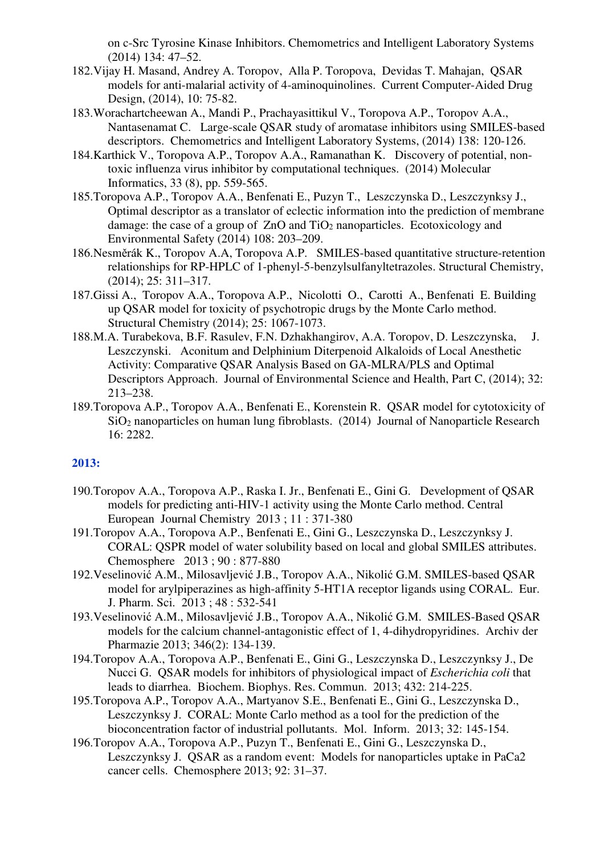on c-Src Tyrosine Kinase Inhibitors. Chemometrics and Intelligent Laboratory Systems (2014) 134: 47–52.

- 182.Vijay H. Masand, Andrey A. Toropov, Alla P. Toropova, Devidas T. Mahajan, QSAR models for anti-malarial activity of 4-aminoquinolines. Current Computer-Aided Drug Design, (2014), 10: 75-82.
- 183.Worachartcheewan A., Mandi P., Prachayasittikul V., Toropova A.P., Toropov A.A., Nantasenamat C. Large-scale QSAR study of aromatase inhibitors using SMILES-based descriptors. Chemometrics and Intelligent Laboratory Systems, (2014) 138: 120-126.
- 184.Karthick V., Toropova A.P., Toropov A.A., Ramanathan K. Discovery of potential, nontoxic influenza virus inhibitor by computational techniques. (2014) Molecular Informatics, 33 (8), pp. 559-565.
- 185.Toropova A.P., Toropov A.A., Benfenati E., Puzyn T., Leszczynska D., Leszczynksy J., Optimal descriptor as a translator of eclectic information into the prediction of membrane damage: the case of a group of  $ZnO$  and  $TiO<sub>2</sub>$  nanoparticles. Ecotoxicology and Environmental Safety (2014) 108: 203–209.
- 186.Nesměrák K., Toropov A.A, Toropova A.P. SMILES-based quantitative structure-retention relationships for RP-HPLC of 1-phenyl-5-benzylsulfanyltetrazoles. Structural Chemistry, (2014); 25: 311–317.
- 187.Gissi A., Toropov A.A., Toropova A.P., Nicolotti O., Carotti A., Benfenati E. Building up QSAR model for toxicity of psychotropic drugs by the Monte Carlo method. Structural Chemistry (2014); 25: 1067-1073.
- 188.M.A. Turabekova, B.F. Rasulev, F.N. Dzhakhangirov, A.A. Toropov, D. Leszczynska, J. Leszczynski. Aconitum and Delphinium Diterpenoid Alkaloids of Local Anesthetic Activity: Comparative QSAR Analysis Based on GA-MLRA/PLS and Optimal Descriptors Approach. Journal of Environmental Science and Health, Part C, (2014); 32: 213–238.
- 189.Toropova A.P., Toropov A.A., Benfenati E., Korenstein R. QSAR model for cytotoxicity of SiO2 nanoparticles on human lung fibroblasts. (2014) Journal of Nanoparticle Research 16: 2282.

- 190.Toropov A.A., Toropova A.P., Raska I. Jr., Benfenati E., Gini G. Development of QSAR models for predicting anti-HIV-1 activity using the Monte Carlo method. Central European Journal Chemistry 2013 ; 11 : 371-380
- 191.Toropov A.A., Toropova A.P., Benfenati E., Gini G., Leszczynska D., Leszczynksy J. CORAL: QSPR model of water solubility based on local and global SMILES attributes. Chemosphere 2013 ; 90 : 877-880
- 192.Veselinović A.M., Milosavljević J.B., Toropov A.A., Nikolić G.M. SMILES-based QSAR model for arylpiperazines as high-affinity 5-HT1A receptor ligands using CORAL. Eur. J. Pharm. Sci. 2013 ; 48 : 532-541
- 193.Veselinović A.M., Milosavljević J.B., Toropov A.A., Nikolić G.M. SMILES-Based QSAR models for the calcium channel-antagonistic effect of 1, 4-dihydropyridines. Archiv der Pharmazie 2013; 346(2): 134-139.
- 194.Toropov A.A., Toropova A.P., Benfenati E., Gini G., Leszczynska D., Leszczynksy J., De Nucci G. QSAR models for inhibitors of physiological impact of *Escherichia coli* that leads to diarrhea. Biochem. Biophys. Res. Commun. 2013; 432: 214-225.
- 195.Toropova A.P., Toropov A.A., Martyanov S.E., Benfenati E., Gini G., Leszczynska D., Leszczynksy J. CORAL: Monte Carlo method as a tool for the prediction of the bioconcentration factor of industrial pollutants. Mol. Inform. 2013; 32: 145-154.
- 196.Toropov A.A., Toropova A.P., Puzyn T., Benfenati E., Gini G., Leszczynska D., Leszczynksy J. QSAR as a random event: Models for nanoparticles uptake in PaCa2 cancer cells. Chemosphere 2013; 92: 31–37.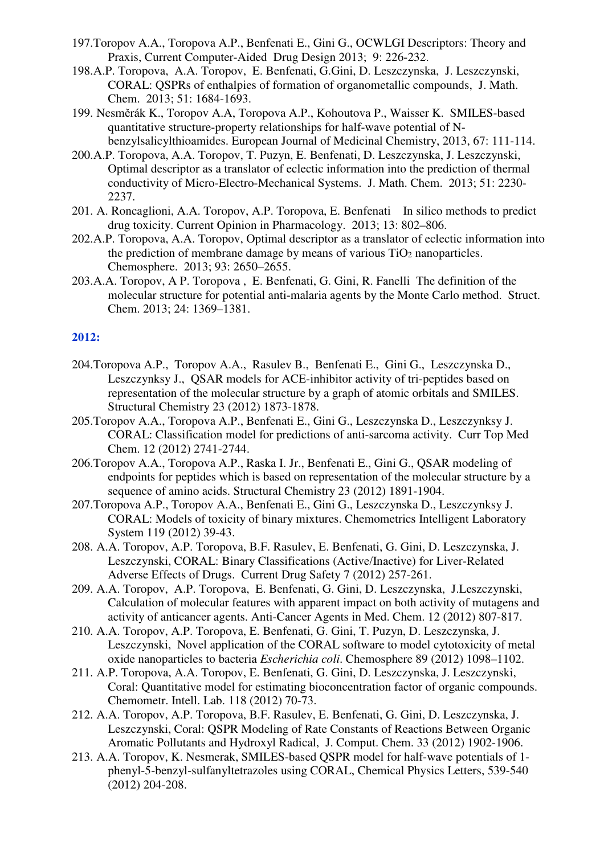- 197.Toropov A.A., Toropova A.P., Benfenati E., Gini G., OCWLGI Descriptors: Theory and Praxis, Current Computer-Aided Drug Design 2013; 9: 226-232.
- 198.A.P. Toropova, A.A. Toropov, E. Benfenati, G.Gini, D. Leszczynska, J. Leszczynski, CORAL: QSPRs of enthalpies of formation of organometallic compounds, J. Math. Chem. 2013; 51: 1684-1693.
- 199. Nesměrák K., Toropov A.A, Toropova A.P., Kohoutova P., Waisser K. SMILES-based quantitative structure-property relationships for half-wave potential of Nbenzylsalicylthioamides. European Journal of Medicinal Chemistry, 2013, 67: 111-114.
- 200.A.P. Toropova, A.A. Toropov, T. Puzyn, E. Benfenati, D. Leszczynska, J. Leszczynski, Optimal descriptor as a translator of eclectic information into the prediction of thermal conductivity of Micro-Electro-Mechanical Systems. J. Math. Chem. 2013; 51: 2230- 2237.
- 201. A. Roncaglioni, A.A. Toropov, A.P. Toropova, E. Benfenati In silico methods to predict drug toxicity. Current Opinion in Pharmacology. 2013; 13: 802–806.
- 202.A.P. Toropova, A.A. Toropov, Optimal descriptor as a translator of eclectic information into the prediction of membrane damage by means of various  $TiO<sub>2</sub>$  nanoparticles. Chemosphere. 2013; 93: 2650–2655.
- 203.A.A. Toropov, A P. Toropova , E. Benfenati, G. Gini, R. Fanelli The definition of the molecular structure for potential anti-malaria agents by the Monte Carlo method. Struct. Chem. 2013; 24: 1369–1381.

- 204.Toropova A.P., Toropov A.A., Rasulev B., Benfenati E., Gini G., Leszczynska D., Leszczynksy J., QSAR models for ACE-inhibitor activity of tri-peptides based on representation of the molecular structure by a graph of atomic orbitals and SMILES. Structural Chemistry 23 (2012) 1873-1878.
- 205.Toropov A.A., Toropova A.P., Benfenati E., Gini G., Leszczynska D., Leszczynksy J. CORAL: Classification model for predictions of anti-sarcoma activity. Curr Top Med Chem. 12 (2012) 2741-2744.
- 206.Toropov A.A., Toropova A.P., Raska I. Jr., Benfenati E., Gini G., QSAR modeling of endpoints for peptides which is based on representation of the molecular structure by a sequence of amino acids. Structural Chemistry 23 (2012) 1891-1904.
- 207.Toropova A.P., Toropov A.A., Benfenati E., Gini G., Leszczynska D., Leszczynksy J. CORAL: Models of toxicity of binary mixtures. Chemometrics Intelligent Laboratory System 119 (2012) 39-43.
- 208. A.A. Toropov, A.P. Toropova, B.F. Rasulev, E. Benfenati, G. Gini, D. Leszczynska, J. Leszczynski, CORAL: Binary Classifications (Active/Inactive) for Liver-Related Adverse Effects of Drugs. Current Drug Safety 7 (2012) 257-261.
- 209. A.A. Toropov, A.P. Toropova, E. Benfenati, G. Gini, D. Leszczynska, J.Leszczynski, Calculation of molecular features with apparent impact on both activity of mutagens and activity of anticancer agents. Anti-Cancer Agents in Med. Chem. 12 (2012) 807-817.
- 210. A.A. Toropov, A.P. Toropova, E. Benfenati, G. Gini, T. Puzyn, D. Leszczynska, J. Leszczynski, Novel application of the CORAL software to model cytotoxicity of metal oxide nanoparticles to bacteria *Escherichia coli*. Chemosphere 89 (2012) 1098–1102.
- 211. A.P. Toropova, A.A. Toropov, E. Benfenati, G. Gini, D. Leszczynska, J. Leszczynski, Coral: Quantitative model for estimating bioconcentration factor of organic compounds. Chemometr. Intell. Lab. 118 (2012) 70-73.
- 212. A.A. Toropov, A.P. Toropova, B.F. Rasulev, E. Benfenati, G. Gini, D. Leszczynska, J. Leszczynski, Coral: QSPR Modeling of Rate Constants of Reactions Between Organic Aromatic Pollutants and Hydroxyl Radical, J. Comput. Chem. 33 (2012) 1902-1906.
- 213. A.A. Toropov, K. Nesmerak, SMILES-based QSPR model for half-wave potentials of 1 phenyl-5-benzyl-sulfanyltetrazoles using CORAL, Chemical Physics Letters, 539-540 (2012) 204-208.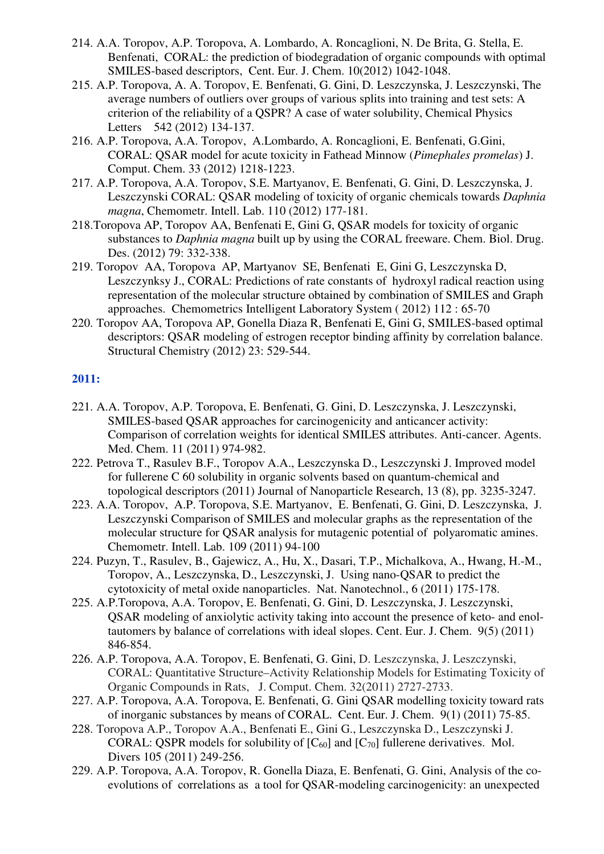- 214. A.A. Toropov, A.P. Toropova, A. Lombardo, A. Roncaglioni, N. De Brita, G. Stella, E. Benfenati, CORAL: the prediction of biodegradation of organic compounds with optimal SMILES-based descriptors, Cent. Eur. J. Chem. 10(2012) 1042-1048.
- 215. A.P. Toropova, A. A. Toropov, E. Benfenati, G. Gini, D. Leszczynska, J. Leszczynski, The average numbers of outliers over groups of various splits into training and test sets: A criterion of the reliability of a QSPR? A case of water solubility, Chemical Physics Letters 542 (2012) 134-137.
- 216. A.P. Toropova, A.A. Toropov, A.Lombardo, A. Roncaglioni, E. Benfenati, G.Gini, CORAL: QSAR model for acute toxicity in Fathead Minnow (*Pimephales promelas*) J. Comput. Chem. 33 (2012) 1218-1223.
- 217. A.P. Toropova, A.A. Toropov, S.E. Martyanov, E. Benfenati, G. Gini, D. Leszczynska, J. Leszczynski CORAL: QSAR modeling of toxicity of organic chemicals towards *Daphnia magna*, Chemometr. Intell. Lab. 110 (2012) 177-181.
- 218.Toropova AP, Toropov AA, Benfenati E, Gini G, QSAR models for toxicity of organic substances to *Daphnia magna* built up by using the CORAL freeware. Chem. Biol. Drug. Des. (2012) 79: 332-338.
- 219. Toropov AA, Toropova AP, Martyanov SE, Benfenati E, Gini G, Leszczynska D, Leszczynksy J., CORAL: Predictions of rate constants of hydroxyl radical reaction using representation of the molecular structure obtained by combination of SMILES and Graph approaches. Chemometrics Intelligent Laboratory System ( 2012) 112 : 65-70
- 220. Toropov AA, Toropova AP, Gonella Diaza R, Benfenati E, Gini G, SMILES-based optimal descriptors: QSAR modeling of estrogen receptor binding affinity by correlation balance. Structural Chemistry (2012) 23: 529-544.

- 221. A.A. Toropov, A.P. Toropova, E. Benfenati, G. Gini, D. Leszczynska, J. Leszczynski, SMILES-based QSAR approaches for carcinogenicity and anticancer activity: Comparison of correlation weights for identical SMILES attributes. Anti-cancer. Agents. Med. Chem. 11 (2011) 974-982.
- 222. Petrova T., Rasulev B.F., Toropov A.A., Leszczynska D., Leszczynski J. Improved model for fullerene C 60 solubility in organic solvents based on quantum-chemical and topological descriptors (2011) Journal of Nanoparticle Research, 13 (8), pp. 3235-3247.
- 223. A.A. Toropov, A.P. Toropova, S.E. Martyanov, E. Benfenati, G. Gini, D. Leszczynska, J. Leszczynski Comparison of SMILES and molecular graphs as the representation of the molecular structure for QSAR analysis for mutagenic potential of polyaromatic amines. Chemometr. Intell. Lab. 109 (2011) 94-100
- 224. Puzyn, T., Rasulev, B., Gajewicz, A., Hu, X., Dasari, T.P., Michalkova, A., Hwang, H.-M., Toropov, A., Leszczynska, D., Leszczynski, J. Using nano-QSAR to predict the cytotoxicity of metal oxide nanoparticles. Nat. Nanotechnol., 6 (2011) 175-178.
- 225. A.P.Toropova, A.A. Toropov, E. Benfenati, G. Gini, D. Leszczynska, J. Leszczynski, QSAR modeling of anxiolytic activity taking into account the presence of keto- and enoltautomers by balance of correlations with ideal slopes. Cent. Eur. J. Chem. 9(5) (2011) 846-854.
- 226. A.P. Toropova, A.A. Toropov, E. Benfenati, G. Gini, D. Leszczynska, J. Leszczynski, CORAL: Quantitative Structure–Activity Relationship Models for Estimating Toxicity of Organic Compounds in Rats, J. Comput. Chem. 32(2011) 2727-2733.
- 227. A.P. Toropova, A.A. Toropova, E. Benfenati, G. Gini QSAR modelling toxicity toward rats of inorganic substances by means of CORAL. Cent. Eur. J. Chem. 9(1) (2011) 75-85.
- 228. Toropova A.P., Toropov A.A., Benfenati E., Gini G., Leszczynska D., Leszczynski J. CORAL: QSPR models for solubility of  $[C_{60}]$  and  $[C_{70}]$  fullerene derivatives. Mol. Divers 105 (2011) 249-256.
- 229. A.P. Toropova, A.A. Toropov, R. Gonella Diaza, E. Benfenati, G. Gini, Analysis of the coevolutions of correlations as a tool for QSAR-modeling carcinogenicity: an unexpected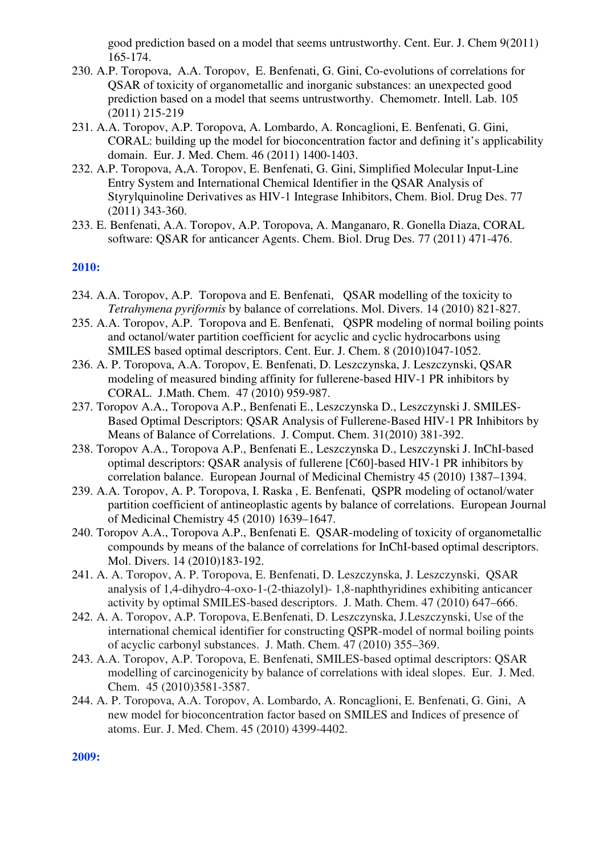good prediction based on a model that seems untrustworthy. Cent. Eur. J. Chem 9(2011) 165-174.

- 230. A.P. Toropova, A.A. Toropov, E. Benfenati, G. Gini, Co-evolutions of correlations for QSAR of toxicity of organometallic and inorganic substances: an unexpected good prediction based on a model that seems untrustworthy. Chemometr. Intell. Lab. 105 (2011) 215-219
- 231. A.A. Toropov, A.P. Toropova, A. Lombardo, A. Roncaglioni, E. Benfenati, G. Gini, CORAL: building up the model for bioconcentration factor and defining it's applicability domain. Eur. J. Med. Chem. 46 (2011) 1400-1403.
- 232. A.P. Toropova, A,A. Toropov, E. Benfenati, G. Gini, Simplified Molecular Input-Line Entry System and International Chemical Identifier in the QSAR Analysis of Styrylquinoline Derivatives as HIV-1 Integrase Inhibitors, Chem. Biol. Drug Des. 77 (2011) 343-360.
- 233. E. Benfenati, A.A. Toropov, A.P. Toropova, A. Manganaro, R. Gonella Diaza, CORAL software: QSAR for anticancer Agents. Chem. Biol. Drug Des. 77 (2011) 471-476.

#### **2010:**

- 234. A.A. Toropov, A.P. Toropova and E. Benfenati, QSAR modelling of the toxicity to *Tetrahymena pyriformis* by balance of correlations. Mol. Divers. 14 (2010) 821-827.
- 235. A.A. Toropov, A.P. Toropova and E. Benfenati, QSPR modeling of normal boiling points and octanol/water partition coefficient for acyclic and cyclic hydrocarbons using SMILES based optimal descriptors. Cent. Eur. J. Chem. 8 (2010)1047-1052.
- 236. A. P. Toropova, A.A. Toropov, E. Benfenati, D. Leszczynska, J. Leszczynski, QSAR modeling of measured binding affinity for fullerene-based HIV-1 PR inhibitors by CORAL. J.Math. Chem. 47 (2010) 959-987.
- 237. Toropov A.A., Toropova A.P., Benfenati E., Leszczynska D., Leszczynski J. SMILES-Based Optimal Descriptors: QSAR Analysis of Fullerene-Based HIV-1 PR Inhibitors by Means of Balance of Correlations. J. Comput. Chem. 31(2010) 381-392.
- 238. Toropov A.A., Toropova A.P., Benfenati E., Leszczynska D., Leszczynski J. InChI-based optimal descriptors: QSAR analysis of fullerene [C60]-based HIV-1 PR inhibitors by correlation balance. European Journal of Medicinal Chemistry 45 (2010) 1387–1394.
- 239. A.A. Toropov, A. P. Toropova, I. Raska , E. Benfenati, QSPR modeling of octanol/water partition coefficient of antineoplastic agents by balance of correlations. European Journal of Medicinal Chemistry 45 (2010) 1639–1647.
- 240. Toropov A.A., Toropova A.P., Benfenati E. QSAR-modeling of toxicity of organometallic compounds by means of the balance of correlations for InChI-based optimal descriptors. Mol. Divers. 14 (2010)183-192.
- 241. A. A. Toropov, A. P. Toropova, E. Benfenati, D. Leszczynska, J. Leszczynski, QSAR analysis of 1,4-dihydro-4-oxo-1-(2-thiazolyl)- 1,8-naphthyridines exhibiting anticancer activity by optimal SMILES-based descriptors. J. Math. Chem. 47 (2010) 647–666.
- 242. A. A. Toropov, A.P. Toropova, E.Benfenati, D. Leszczynska, J.Leszczynski, Use of the international chemical identifier for constructing QSPR-model of normal boiling points of acyclic carbonyl substances. J. Math. Chem. 47 (2010) 355–369.
- 243. A.A. Toropov, A.P. Toropova, E. Benfenati, SMILES-based optimal descriptors: QSAR modelling of carcinogenicity by balance of correlations with ideal slopes. Eur. J. Med. Chem. 45 (2010)3581-3587.
- 244. A. P. Toropova, A.A. Toropov, A. Lombardo, A. Roncaglioni, E. Benfenati, G. Gini, A new model for bioconcentration factor based on SMILES and Indices of presence of atoms. Eur. J. Med. Chem. 45 (2010) 4399-4402.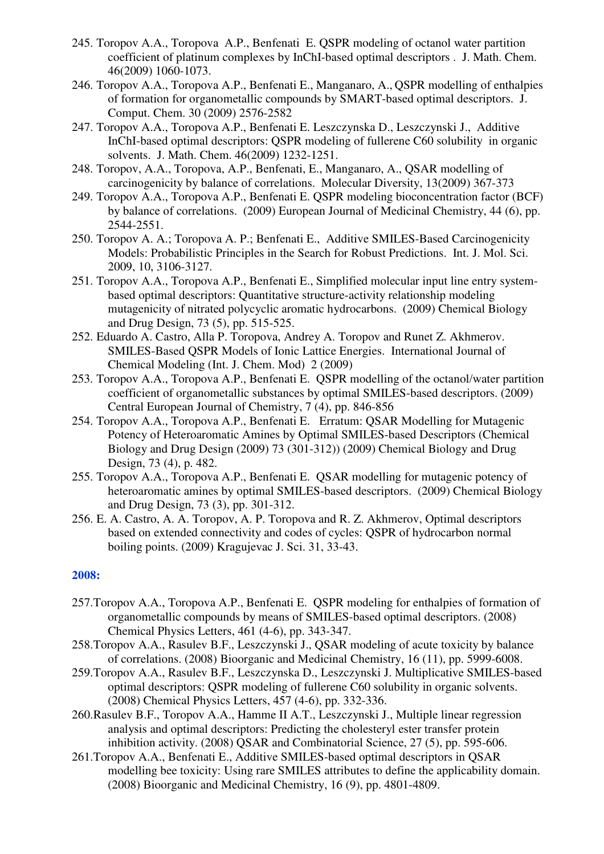- 245. Toropov A.A., Toropova A.P., Benfenati E. QSPR modeling of octanol water partition coefficient of platinum complexes by InChI-based optimal descriptors . J. Math. Chem. 46(2009) 1060-1073.
- 246. Toropov A.A., Toropova A.P., Benfenati E., Manganaro, A., QSPR modelling of enthalpies of formation for organometallic compounds by SMART-based optimal descriptors. J. Comput. Chem. 30 (2009) 2576-2582
- 247. Toropov A.A., Toropova A.P., Benfenati E. Leszczynska D., Leszczynski J., Additive InChI-based optimal descriptors: QSPR modeling of fullerene C60 solubility in organic solvents. J. Math. Chem. 46(2009) 1232-1251.
- 248. Toropov, A.A., Toropova, A.P., Benfenati, E., Manganaro, A., QSAR modelling of carcinogenicity by balance of correlations. Molecular Diversity, 13(2009) 367-373
- 249. Toropov A.A., Toropova A.P., Benfenati E. QSPR modeling bioconcentration factor (BCF) by balance of correlations. (2009) European Journal of Medicinal Chemistry, 44 (6), pp. 2544-2551.
- 250. Toropov A. A.; Toropova A. P.; Benfenati E., Additive SMILES-Based Carcinogenicity Models: Probabilistic Principles in the Search for Robust Predictions. Int. J. Mol. Sci. 2009, 10, 3106-3127.
- 251. Toropov A.A., Toropova A.P., Benfenati E., Simplified molecular input line entry systembased optimal descriptors: Quantitative structure-activity relationship modeling mutagenicity of nitrated polycyclic aromatic hydrocarbons. (2009) Chemical Biology and Drug Design, 73 (5), pp. 515-525.
- 252. Eduardo A. Castro, Alla P. Toropova, Andrey A. Toropov and Runet Z. Akhmerov. SMILES-Based QSPR Models of Ionic Lattice Energies. International Journal of Chemical Modeling (Int. J. Chem. Mod) 2 (2009)
- 253. Toropov A.A., Toropova A.P., Benfenati E. QSPR modelling of the octanol/water partition coefficient of organometallic substances by optimal SMILES-based descriptors. (2009) Central European Journal of Chemistry, 7 (4), pp. 846-856
- 254. Toropov A.A., Toropova A.P., Benfenati E. Erratum: QSAR Modelling for Mutagenic Potency of Heteroaromatic Amines by Optimal SMILES-based Descriptors (Chemical Biology and Drug Design (2009) 73 (301-312)) (2009) Chemical Biology and Drug Design, 73 (4), p. 482.
- 255. Toropov A.A., Toropova A.P., Benfenati E. QSAR modelling for mutagenic potency of heteroaromatic amines by optimal SMILES-based descriptors. (2009) Chemical Biology and Drug Design, 73 (3), pp. 301-312.
- 256. E. A. Castro, A. A. Toropov, A. P. Toropova and R. Z. Akhmerov, Optimal descriptors based on extended connectivity and codes of cycles: QSPR of hydrocarbon normal boiling points. (2009) Kragujevac J. Sci. 31, 33-43.

- 257.Toropov A.A., Toropova A.P., Benfenati E. QSPR modeling for enthalpies of formation of organometallic compounds by means of SMILES-based optimal descriptors. (2008) Chemical Physics Letters, 461 (4-6), pp. 343-347.
- 258.Toropov A.A., Rasulev B.F., Leszczynski J., QSAR modeling of acute toxicity by balance of correlations. (2008) Bioorganic and Medicinal Chemistry, 16 (11), pp. 5999-6008.
- 259.Toropov A.A., Rasulev B.F., Leszczynska D., Leszczynski J. Multiplicative SMILES-based optimal descriptors: QSPR modeling of fullerene C60 solubility in organic solvents. (2008) Chemical Physics Letters, 457 (4-6), pp. 332-336.
- 260.Rasulev B.F., Toropov A.A., Hamme II A.T., Leszczynski J., Multiple linear regression analysis and optimal descriptors: Predicting the cholesteryl ester transfer protein inhibition activity. (2008) QSAR and Combinatorial Science, 27 (5), pp. 595-606.
- 261.Toropov A.A., Benfenati E., Additive SMILES-based optimal descriptors in QSAR modelling bee toxicity: Using rare SMILES attributes to define the applicability domain. (2008) Bioorganic and Medicinal Chemistry, 16 (9), pp. 4801-4809.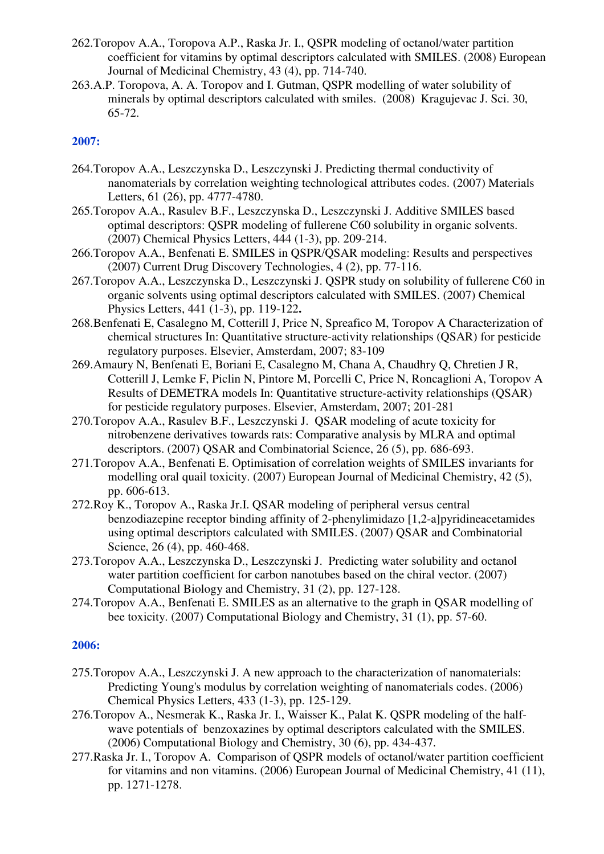- 262.Toropov A.A., Toropova A.P., Raska Jr. I., QSPR modeling of octanol/water partition coefficient for vitamins by optimal descriptors calculated with SMILES. (2008) European Journal of Medicinal Chemistry, 43 (4), pp. 714-740.
- 263.A.P. Toropova, A. A. Toropov and I. Gutman, QSPR modelling of water solubility of minerals by optimal descriptors calculated with smiles. (2008) Kragujevac J. Sci. 30, 65-72.

- 264.Toropov A.A., Leszczynska D., Leszczynski J. Predicting thermal conductivity of nanomaterials by correlation weighting technological attributes codes. (2007) Materials Letters, 61 (26), pp. 4777-4780.
- 265.Toropov A.A., Rasulev B.F., Leszczynska D., Leszczynski J. Additive SMILES based optimal descriptors: QSPR modeling of fullerene C60 solubility in organic solvents. (2007) Chemical Physics Letters, 444 (1-3), pp. 209-214.
- 266.Toropov A.A., Benfenati E. SMILES in QSPR/QSAR modeling: Results and perspectives (2007) Current Drug Discovery Technologies, 4 (2), pp. 77-116.
- 267.Toropov A.A., Leszczynska D., Leszczynski J. QSPR study on solubility of fullerene C60 in organic solvents using optimal descriptors calculated with SMILES. (2007) Chemical Physics Letters, 441 (1-3), pp. 119-122**.**
- 268.Benfenati E, Casalegno M, Cotterill J, Price N, Spreafico M, Toropov A Characterization of chemical structures In: Quantitative structure-activity relationships (QSAR) for pesticide regulatory purposes. Elsevier, Amsterdam, 2007; 83-109
- 269.Amaury N, Benfenati E, Boriani E, Casalegno M, Chana A, Chaudhry Q, Chretien J R, Cotterill J, Lemke F, Piclin N, Pintore M, Porcelli C, Price N, Roncaglioni A, Toropov A Results of DEMETRA models In: Quantitative structure-activity relationships (QSAR) for pesticide regulatory purposes. Elsevier, Amsterdam, 2007; 201-281
- 270.Toropov A.A., Rasulev B.F., Leszczynski J. QSAR modeling of acute toxicity for nitrobenzene derivatives towards rats: Comparative analysis by MLRA and optimal descriptors. (2007) QSAR and Combinatorial Science, 26 (5), pp. 686-693.
- 271.Toropov A.A., Benfenati E. Optimisation of correlation weights of SMILES invariants for modelling oral quail toxicity. (2007) European Journal of Medicinal Chemistry, 42 (5), pp. 606-613.
- 272.Roy K., Toropov A., Raska Jr.I. QSAR modeling of peripheral versus central benzodiazepine receptor binding affinity of 2-phenylimidazo [1,2-a]pyridineacetamides using optimal descriptors calculated with SMILES. (2007) QSAR and Combinatorial Science, 26 (4), pp. 460-468.
- 273.Toropov A.A., Leszczynska D., Leszczynski J. Predicting water solubility and octanol water partition coefficient for carbon nanotubes based on the chiral vector. (2007) Computational Biology and Chemistry, 31 (2), pp. 127-128.
- 274.Toropov A.A., Benfenati E. SMILES as an alternative to the graph in QSAR modelling of bee toxicity. (2007) Computational Biology and Chemistry, 31 (1), pp. 57-60.

- 275.Toropov A.A., Leszczynski J. A new approach to the characterization of nanomaterials: Predicting Young's modulus by correlation weighting of nanomaterials codes. (2006) Chemical Physics Letters, 433 (1-3), pp. 125-129.
- 276.Toropov A., Nesmerak K., Raska Jr. I., Waisser K., Palat K. QSPR modeling of the halfwave potentials of benzoxazines by optimal descriptors calculated with the SMILES. (2006) Computational Biology and Chemistry, 30 (6), pp. 434-437.
- 277.Raska Jr. I., Toropov A. Comparison of QSPR models of octanol/water partition coefficient for vitamins and non vitamins. (2006) European Journal of Medicinal Chemistry, 41 (11), pp. 1271-1278.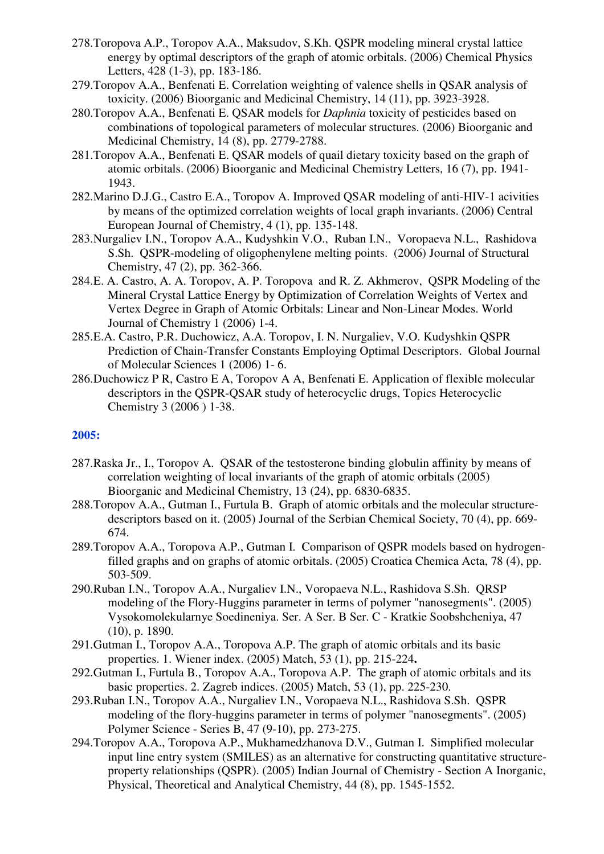- 278.Toropova A.P., Toropov A.A., Maksudov, S.Kh. QSPR modeling mineral crystal lattice energy by optimal descriptors of the graph of atomic orbitals. (2006) Chemical Physics Letters, 428 (1-3), pp. 183-186.
- 279.Toropov A.A., Benfenati E. Correlation weighting of valence shells in QSAR analysis of toxicity. (2006) Bioorganic and Medicinal Chemistry, 14 (11), pp. 3923-3928.
- 280.Toropov A.A., Benfenati E. QSAR models for *Daphnia* toxicity of pesticides based on combinations of topological parameters of molecular structures. (2006) Bioorganic and Medicinal Chemistry, 14 (8), pp. 2779-2788.
- 281.Toropov A.A., Benfenati E. QSAR models of quail dietary toxicity based on the graph of atomic orbitals. (2006) Bioorganic and Medicinal Chemistry Letters, 16 (7), pp. 1941- 1943.
- 282.Marino D.J.G., Castro E.A., Toropov A. Improved QSAR modeling of anti-HIV-1 acivities by means of the optimized correlation weights of local graph invariants. (2006) Central European Journal of Chemistry, 4 (1), pp. 135-148.
- 283.Nurgaliev I.N., Toropov A.A., Kudyshkin V.O., Ruban I.N., Voropaeva N.L., Rashidova S.Sh. QSPR-modeling of oligophenylene melting points. (2006) Journal of Structural Chemistry, 47 (2), pp. 362-366.
- 284.E. A. Castro, A. A. Toropov, A. P. Toropova and R. Z. Akhmerov, QSPR Modeling of the Mineral Crystal Lattice Energy by Optimization of Correlation Weights of Vertex and Vertex Degree in Graph of Atomic Orbitals: Linear and Non-Linear Modes. World Journal of Chemistry 1 (2006) 1-4.
- 285.E.A. Castro, P.R. Duchowicz, A.A. Toropov, I. N. Nurgaliev, V.O. Kudyshkin QSPR Prediction of Chain-Transfer Constants Employing Optimal Descriptors. Global Journal of Molecular Sciences 1 (2006) 1- 6.
- 286.Duchowicz P R, Castro E A, Toropov A A, Benfenati E. Application of flexible molecular descriptors in the QSPR-QSAR study of heterocyclic drugs, Topics Heterocyclic Chemistry 3 (2006 ) 1-38.

- 287.Raska Jr., I., Toropov A. QSAR of the testosterone binding globulin affinity by means of correlation weighting of local invariants of the graph of atomic orbitals (2005) Bioorganic and Medicinal Chemistry, 13 (24), pp. 6830-6835.
- 288.Toropov A.A., Gutman I., Furtula B. Graph of atomic orbitals and the molecular structuredescriptors based on it. (2005) Journal of the Serbian Chemical Society, 70 (4), pp. 669- 674.
- 289.Toropov A.A., Toropova A.P., Gutman I. Comparison of QSPR models based on hydrogenfilled graphs and on graphs of atomic orbitals. (2005) Croatica Chemica Acta, 78 (4), pp. 503-509.
- 290.Ruban I.N., Toropov A.A., Nurgaliev I.N., Voropaeva N.L., Rashidova S.Sh. QRSP modeling of the Flory-Huggins parameter in terms of polymer "nanosegments". (2005) Vysokomolekularnye Soedineniya. Ser. A Ser. B Ser. C - Kratkie Soobshcheniya, 47 (10), p. 1890.
- 291.Gutman I., Toropov A.A., Toropova A.P. The graph of atomic orbitals and its basic properties. 1. Wiener index. (2005) Match, 53 (1), pp. 215-224**.**
- 292.Gutman I., Furtula B., Toropov A.A., Toropova A.P. The graph of atomic orbitals and its basic properties. 2. Zagreb indices. (2005) Match, 53 (1), pp. 225-230.
- 293.Ruban I.N., Toropov A.A., Nurgaliev I.N., Voropaeva N.L., Rashidova S.Sh. QSPR modeling of the flory-huggins parameter in terms of polymer "nanosegments". (2005) Polymer Science - Series B, 47 (9-10), pp. 273-275.
- 294.Toropov A.A., Toropova A.P., Mukhamedzhanova D.V., Gutman I. Simplified molecular input line entry system (SMILES) as an alternative for constructing quantitative structureproperty relationships (QSPR). (2005) Indian Journal of Chemistry - Section A Inorganic, Physical, Theoretical and Analytical Chemistry, 44 (8), pp. 1545-1552.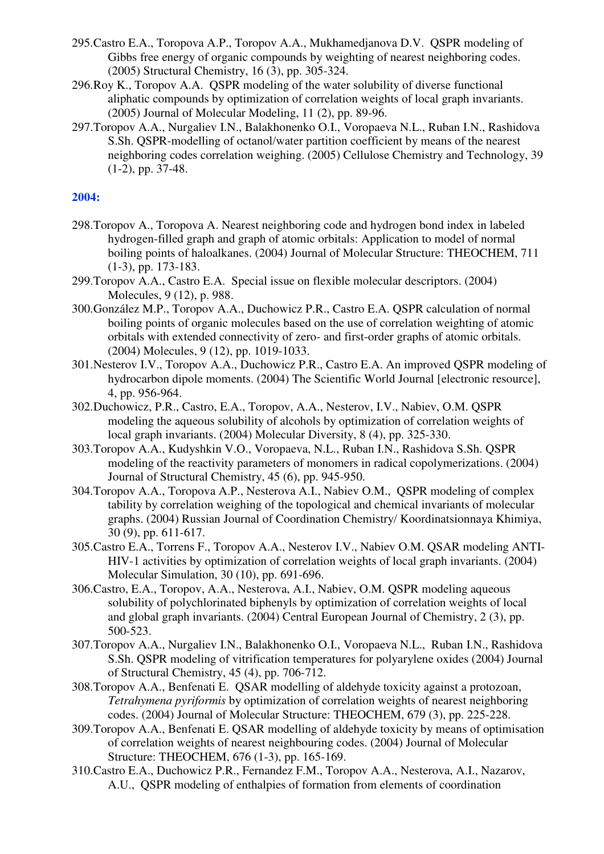- 295.Castro E.A., Toropova A.P., Toropov A.A., Mukhamedjanova D.V. QSPR modeling of Gibbs free energy of organic compounds by weighting of nearest neighboring codes. (2005) Structural Chemistry, 16 (3), pp. 305-324.
- 296.Roy K., Toropov A.A. QSPR modeling of the water solubility of diverse functional aliphatic compounds by optimization of correlation weights of local graph invariants. (2005) Journal of Molecular Modeling, 11 (2), pp. 89-96.
- 297.Toropov A.A., Nurgaliev I.N., Balakhonenko O.I., Voropaeva N.L., Ruban I.N., Rashidova S.Sh. QSPR-modelling of octanol/water partition coefficient by means of the nearest neighboring codes correlation weighing. (2005) Cellulose Chemistry and Technology, 39 (1-2), pp. 37-48.

- 298.Toropov A., Toropova A. Nearest neighboring code and hydrogen bond index in labeled hydrogen-filled graph and graph of atomic orbitals: Application to model of normal boiling points of haloalkanes. (2004) Journal of Molecular Structure: THEOCHEM, 711 (1-3), pp. 173-183.
- 299.Toropov A.A., Castro E.A. Special issue on flexible molecular descriptors. (2004) Molecules, 9 (12), p. 988.
- 300.González M.P., Toropov A.A., Duchowicz P.R., Castro E.A. QSPR calculation of normal boiling points of organic molecules based on the use of correlation weighting of atomic orbitals with extended connectivity of zero- and first-order graphs of atomic orbitals. (2004) Molecules, 9 (12), pp. 1019-1033.
- 301.Nesterov I.V., Toropov A.A., Duchowicz P.R., Castro E.A. An improved QSPR modeling of hydrocarbon dipole moments. (2004) The Scientific World Journal [electronic resource], 4, pp. 956-964.
- 302.Duchowicz, P.R., Castro, E.A., Toropov, A.A., Nesterov, I.V., Nabiev, O.M. QSPR modeling the aqueous solubility of alcohols by optimization of correlation weights of local graph invariants. (2004) Molecular Diversity, 8 (4), pp. 325-330.
- 303.Toropov A.A., Kudyshkin V.O., Voropaeva, N.L., Ruban I.N., Rashidova S.Sh. QSPR modeling of the reactivity parameters of monomers in radical copolymerizations. (2004) Journal of Structural Chemistry, 45 (6), pp. 945-950.
- 304.Toropov A.A., Toropova A.P., Nesterova A.I., Nabiev O.M., QSPR modeling of complex tability by correlation weighing of the topological and chemical invariants of molecular graphs. (2004) Russian Journal of Coordination Chemistry/ Koordinatsionnaya Khimiya, 30 (9), pp. 611-617.
- 305.Castro E.A., Torrens F., Toropov A.A., Nesterov I.V., Nabiev O.M. QSAR modeling ANTI-HIV-1 activities by optimization of correlation weights of local graph invariants. (2004) Molecular Simulation, 30 (10), pp. 691-696.
- 306.Castro, E.A., Toropov, A.A., Nesterova, A.I., Nabiev, O.M. QSPR modeling aqueous solubility of polychlorinated biphenyls by optimization of correlation weights of local and global graph invariants. (2004) Central European Journal of Chemistry, 2 (3), pp. 500-523.
- 307.Toropov A.A., Nurgaliev I.N., Balakhonenko O.I., Voropaeva N.L., Ruban I.N., Rashidova S.Sh. QSPR modeling of vitrification temperatures for polyarylene oxides (2004) Journal of Structural Chemistry, 45 (4), pp. 706-712.
- 308.Toropov A.A., Benfenati E. QSAR modelling of aldehyde toxicity against a protozoan, *Tetrahymena pyriformis* by optimization of correlation weights of nearest neighboring codes. (2004) Journal of Molecular Structure: THEOCHEM, 679 (3), pp. 225-228.
- 309.Toropov A.A., Benfenati E. QSAR modelling of aldehyde toxicity by means of optimisation of correlation weights of nearest neighbouring codes. (2004) Journal of Molecular Structure: THEOCHEM, 676 (1-3), pp. 165-169.
- 310.Castro E.A., Duchowicz P.R., Fernandez F.M., Toropov A.A., Nesterova, A.I., Nazarov, A.U., QSPR modeling of enthalpies of formation from elements of coordination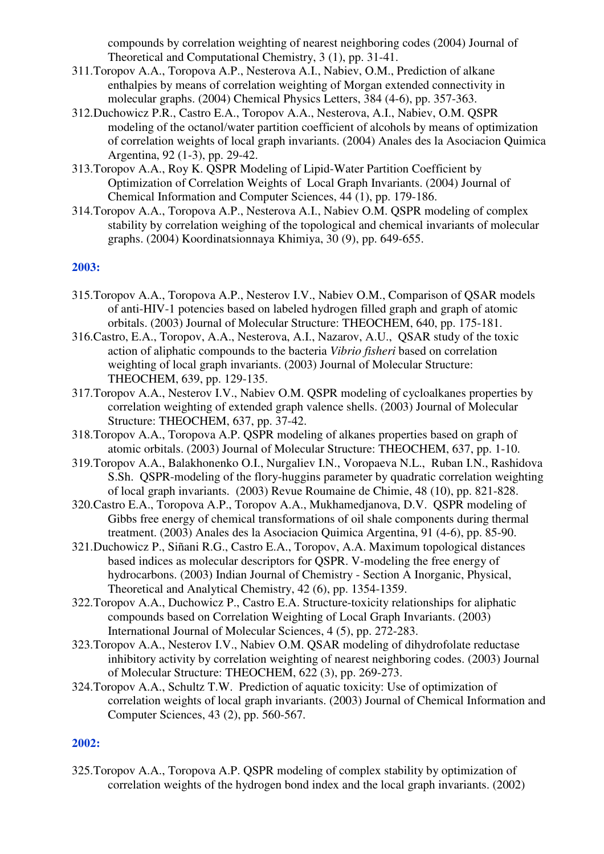compounds by correlation weighting of nearest neighboring codes (2004) Journal of Theoretical and Computational Chemistry, 3 (1), pp. 31-41.

- 311.Toropov A.A., Toropova A.P., Nesterova A.I., Nabiev, O.M., Prediction of alkane enthalpies by means of correlation weighting of Morgan extended connectivity in molecular graphs. (2004) Chemical Physics Letters, 384 (4-6), pp. 357-363.
- 312.Duchowicz P.R., Castro E.A., Toropov A.A., Nesterova, A.I., Nabiev, O.M. QSPR modeling of the octanol/water partition coefficient of alcohols by means of optimization of correlation weights of local graph invariants. (2004) Anales des la Asociacion Quimica Argentina, 92 (1-3), pp. 29-42.
- 313.Toropov A.A., Roy K. QSPR Modeling of Lipid-Water Partition Coefficient by Optimization of Correlation Weights of Local Graph Invariants. (2004) Journal of Chemical Information and Computer Sciences, 44 (1), pp. 179-186.
- 314.Toropov A.A., Toropova A.P., Nesterova A.I., Nabiev O.M. QSPR modeling of complex stability by correlation weighing of the topological and chemical invariants of molecular graphs. (2004) Koordinatsionnaya Khimiya, 30 (9), pp. 649-655.

#### **2003:**

- 315.Toropov A.A., Toropova A.P., Nesterov I.V., Nabiev O.M., Comparison of QSAR models of anti-HIV-1 potencies based on labeled hydrogen filled graph and graph of atomic orbitals. (2003) Journal of Molecular Structure: THEOCHEM, 640, pp. 175-181.
- 316.Castro, E.A., Toropov, A.A., Nesterova, A.I., Nazarov, A.U., QSAR study of the toxic action of aliphatic compounds to the bacteria *Vibrio fisheri* based on correlation weighting of local graph invariants. (2003) Journal of Molecular Structure: THEOCHEM, 639, pp. 129-135.
- 317.Toropov A.A., Nesterov I.V., Nabiev O.M. QSPR modeling of cycloalkanes properties by correlation weighting of extended graph valence shells. (2003) Journal of Molecular Structure: THEOCHEM, 637, pp. 37-42.
- 318.Toropov A.A., Toropova A.P. QSPR modeling of alkanes properties based on graph of atomic orbitals. (2003) Journal of Molecular Structure: THEOCHEM, 637, pp. 1-10.
- 319.Toropov A.A., Balakhonenko O.I., Nurgaliev I.N., Voropaeva N.L., Ruban I.N., Rashidova S.Sh. QSPR-modeling of the flory-huggins parameter by quadratic correlation weighting of local graph invariants. (2003) Revue Roumaine de Chimie, 48 (10), pp. 821-828.
- 320.Castro E.A., Toropova A.P., Toropov A.A., Mukhamedjanova, D.V. QSPR modeling of Gibbs free energy of chemical transformations of oil shale components during thermal treatment. (2003) Anales des la Asociacion Quimica Argentina, 91 (4-6), pp. 85-90.
- 321.Duchowicz P., Siñani R.G., Castro E.A., Toropov, A.A. Maximum topological distances based indices as molecular descriptors for QSPR. V-modeling the free energy of hydrocarbons. (2003) Indian Journal of Chemistry - Section A Inorganic, Physical, Theoretical and Analytical Chemistry, 42 (6), pp. 1354-1359.
- 322.Toropov A.A., Duchowicz P., Castro E.A. Structure-toxicity relationships for aliphatic compounds based on Correlation Weighting of Local Graph Invariants. (2003) International Journal of Molecular Sciences, 4 (5), pp. 272-283.
- 323.Toropov A.A., Nesterov I.V., Nabiev O.M. QSAR modeling of dihydrofolate reductase inhibitory activity by correlation weighting of nearest neighboring codes. (2003) Journal of Molecular Structure: THEOCHEM, 622 (3), pp. 269-273.
- 324.Toropov A.A., Schultz T.W. Prediction of aquatic toxicity: Use of optimization of correlation weights of local graph invariants. (2003) Journal of Chemical Information and Computer Sciences, 43 (2), pp. 560-567.

#### **2002:**

325.Toropov A.A., Toropova A.P. QSPR modeling of complex stability by optimization of correlation weights of the hydrogen bond index and the local graph invariants. (2002)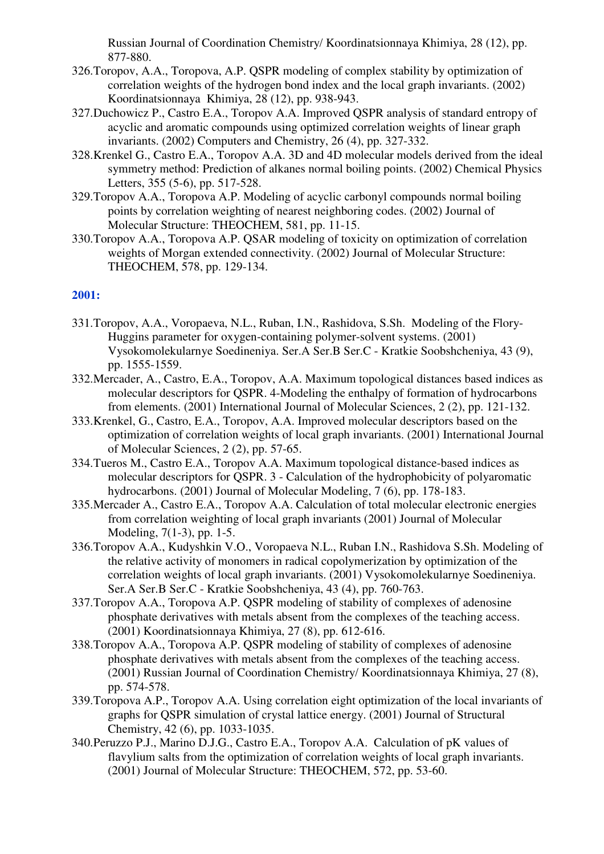Russian Journal of Coordination Chemistry/ Koordinatsionnaya Khimiya, 28 (12), pp. 877-880.

- 326.Toropov, A.A., Toropova, A.P. QSPR modeling of complex stability by optimization of correlation weights of the hydrogen bond index and the local graph invariants. (2002) Koordinatsionnaya Khimiya, 28 (12), pp. 938-943.
- 327.Duchowicz P., Castro E.A., Toropov A.A. Improved QSPR analysis of standard entropy of acyclic and aromatic compounds using optimized correlation weights of linear graph invariants. (2002) Computers and Chemistry, 26 (4), pp. 327-332.
- 328.Krenkel G., Castro E.A., Toropov A.A. 3D and 4D molecular models derived from the ideal symmetry method: Prediction of alkanes normal boiling points. (2002) Chemical Physics Letters, 355 (5-6), pp. 517-528.
- 329.Toropov A.A., Toropova A.P. Modeling of acyclic carbonyl compounds normal boiling points by correlation weighting of nearest neighboring codes. (2002) Journal of Molecular Structure: THEOCHEM, 581, pp. 11-15.
- 330.Toropov A.A., Toropova A.P. QSAR modeling of toxicity on optimization of correlation weights of Morgan extended connectivity. (2002) Journal of Molecular Structure: THEOCHEM, 578, pp. 129-134.

- 331.Toropov, A.A., Voropaeva, N.L., Ruban, I.N., Rashidova, S.Sh. Modeling of the Flory-Huggins parameter for oxygen-containing polymer-solvent systems. (2001) Vysokomolekularnye Soedineniya. Ser.A Ser.B Ser.C - Kratkie Soobshcheniya, 43 (9), pp. 1555-1559.
- 332.Mercader, A., Castro, E.A., Toropov, A.A. Maximum topological distances based indices as molecular descriptors for QSPR. 4-Modeling the enthalpy of formation of hydrocarbons from elements. (2001) International Journal of Molecular Sciences, 2 (2), pp. 121-132.
- 333.Krenkel, G., Castro, E.A., Toropov, A.A. Improved molecular descriptors based on the optimization of correlation weights of local graph invariants. (2001) International Journal of Molecular Sciences, 2 (2), pp. 57-65.
- 334.Tueros M., Castro E.A., Toropov A.A. Maximum topological distance-based indices as molecular descriptors for QSPR. 3 - Calculation of the hydrophobicity of polyaromatic hydrocarbons. (2001) Journal of Molecular Modeling, 7 (6), pp. 178-183.
- 335.Mercader A., Castro E.A., Toropov A.A. Calculation of total molecular electronic energies from correlation weighting of local graph invariants (2001) Journal of Molecular Modeling, 7(1-3), pp. 1-5.
- 336.Toropov A.A., Kudyshkin V.O., Voropaeva N.L., Ruban I.N., Rashidova S.Sh. Modeling of the relative activity of monomers in radical copolymerization by optimization of the correlation weights of local graph invariants. (2001) Vysokomolekularnye Soedineniya. Ser.A Ser.B Ser.C - Kratkie Soobshcheniya, 43 (4), pp. 760-763.
- 337.Toropov A.A., Toropova A.P. QSPR modeling of stability of complexes of adenosine phosphate derivatives with metals absent from the complexes of the teaching access. (2001) Koordinatsionnaya Khimiya, 27 (8), pp. 612-616.
- 338.Toropov A.A., Toropova A.P. QSPR modeling of stability of complexes of adenosine phosphate derivatives with metals absent from the complexes of the teaching access. (2001) Russian Journal of Coordination Chemistry/ Koordinatsionnaya Khimiya, 27 (8), pp. 574-578.
- 339.Toropova A.P., Toropov A.A. Using correlation eight optimization of the local invariants of graphs for QSPR simulation of crystal lattice energy. (2001) Journal of Structural Chemistry, 42 (6), pp. 1033-1035.
- 340.Peruzzo P.J., Marino D.J.G., Castro E.A., Toropov A.A. Calculation of pK values of flavylium salts from the optimization of correlation weights of local graph invariants. (2001) Journal of Molecular Structure: THEOCHEM, 572, pp. 53-60.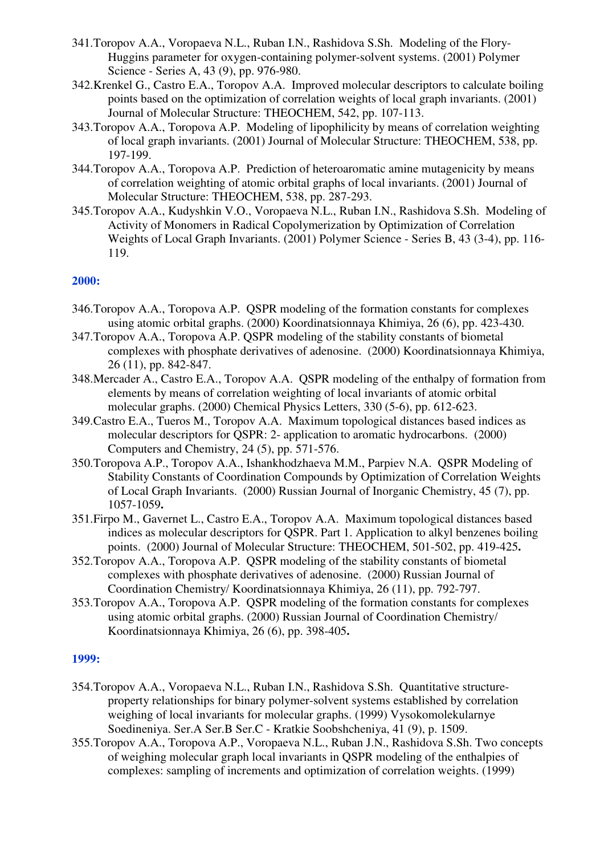- 341.Toropov A.A., Voropaeva N.L., Ruban I.N., Rashidova S.Sh. Modeling of the Flory-Huggins parameter for oxygen-containing polymer-solvent systems. (2001) Polymer Science - Series A, 43 (9), pp. 976-980.
- 342.Krenkel G., Castro E.A., Toropov A.A. Improved molecular descriptors to calculate boiling points based on the optimization of correlation weights of local graph invariants. (2001) Journal of Molecular Structure: THEOCHEM, 542, pp. 107-113.
- 343.Toropov A.A., Toropova A.P. Modeling of lipophilicity by means of correlation weighting of local graph invariants. (2001) Journal of Molecular Structure: THEOCHEM, 538, pp. 197-199.
- 344.Toropov A.A., Toropova A.P. Prediction of heteroaromatic amine mutagenicity by means of correlation weighting of atomic orbital graphs of local invariants. (2001) Journal of Molecular Structure: THEOCHEM, 538, pp. 287-293.
- 345.Toropov A.A., Kudyshkin V.O., Voropaeva N.L., Ruban I.N., Rashidova S.Sh. Modeling of Activity of Monomers in Radical Copolymerization by Optimization of Correlation Weights of Local Graph Invariants. (2001) Polymer Science - Series B, 43 (3-4), pp. 116- 119.

- 346.Toropov A.A., Toropova A.P. QSPR modeling of the formation constants for complexes using atomic orbital graphs. (2000) Koordinatsionnaya Khimiya, 26 (6), pp. 423-430.
- 347.Toropov A.A., Toropova A.P. QSPR modeling of the stability constants of biometal complexes with phosphate derivatives of adenosine. (2000) Koordinatsionnaya Khimiya, 26 (11), pp. 842-847.
- 348.Mercader A., Castro E.A., Toropov A.A. QSPR modeling of the enthalpy of formation from elements by means of correlation weighting of local invariants of atomic orbital molecular graphs. (2000) Chemical Physics Letters, 330 (5-6), pp. 612-623.
- 349.Castro E.A., Tueros M., Toropov A.A. Maximum topological distances based indices as molecular descriptors for QSPR: 2- application to aromatic hydrocarbons. (2000) Computers and Chemistry, 24 (5), pp. 571-576.
- 350.Toropova A.P., Toropov A.A., Ishankhodzhaeva M.M., Parpiev N.A. QSPR Modeling of Stability Constants of Coordination Compounds by Optimization of Correlation Weights of Local Graph Invariants. (2000) Russian Journal of Inorganic Chemistry, 45 (7), pp. 1057-1059**.**
- 351.Firpo M., Gavernet L., Castro E.A., Toropov A.A. Maximum topological distances based indices as molecular descriptors for QSPR. Part 1. Application to alkyl benzenes boiling points. (2000) Journal of Molecular Structure: THEOCHEM, 501-502, pp. 419-425**.**
- 352.Toropov A.A., Toropova A.P. QSPR modeling of the stability constants of biometal complexes with phosphate derivatives of adenosine. (2000) Russian Journal of Coordination Chemistry/ Koordinatsionnaya Khimiya, 26 (11), pp. 792-797.
- 353.Toropov A.A., Toropova A.P. QSPR modeling of the formation constants for complexes using atomic orbital graphs. (2000) Russian Journal of Coordination Chemistry/ Koordinatsionnaya Khimiya, 26 (6), pp. 398-405**.**

- 354.Toropov A.A., Voropaeva N.L., Ruban I.N., Rashidova S.Sh. Quantitative structureproperty relationships for binary polymer-solvent systems established by correlation weighing of local invariants for molecular graphs. (1999) Vysokomolekularnye Soedineniya. Ser.A Ser.B Ser.C - Kratkie Soobshcheniya, 41 (9), p. 1509.
- 355.Toropov A.A., Toropova A.P., Voropaeva N.L., Ruban J.N., Rashidova S.Sh. Two concepts of weighing molecular graph local invariants in QSPR modeling of the enthalpies of complexes: sampling of increments and optimization of correlation weights. (1999)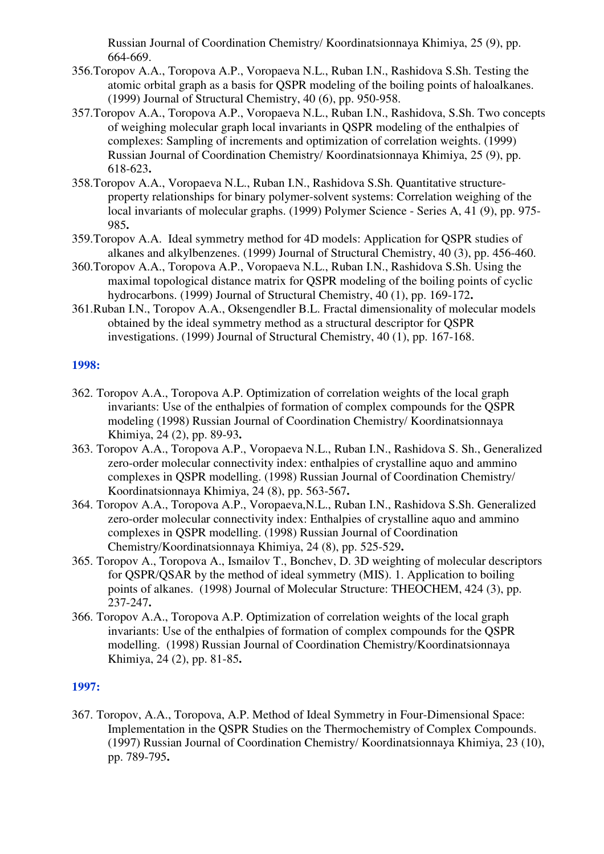Russian Journal of Coordination Chemistry/ Koordinatsionnaya Khimiya, 25 (9), pp. 664-669.

- 356.Toropov A.A., Toropova A.P., Voropaeva N.L., Ruban I.N., Rashidova S.Sh. Testing the atomic orbital graph as a basis for QSPR modeling of the boiling points of haloalkanes. (1999) Journal of Structural Chemistry, 40 (6), pp. 950-958.
- 357.Toropov A.A., Toropova A.P., Voropaeva N.L., Ruban I.N., Rashidova, S.Sh. Two concepts of weighing molecular graph local invariants in QSPR modeling of the enthalpies of complexes: Sampling of increments and optimization of correlation weights. (1999) Russian Journal of Coordination Chemistry/ Koordinatsionnaya Khimiya, 25 (9), pp. 618-623**.**
- 358.Toropov A.A., Voropaeva N.L., Ruban I.N., Rashidova S.Sh. Quantitative structureproperty relationships for binary polymer-solvent systems: Correlation weighing of the local invariants of molecular graphs. (1999) Polymer Science - Series A, 41 (9), pp. 975-985**.**
- 359.Toropov A.A. Ideal symmetry method for 4D models: Application for QSPR studies of alkanes and alkylbenzenes. (1999) Journal of Structural Chemistry, 40 (3), pp. 456-460.
- 360.Toropov A.A., Toropova A.P., Voropaeva N.L., Ruban I.N., Rashidova S.Sh. Using the maximal topological distance matrix for QSPR modeling of the boiling points of cyclic hydrocarbons. (1999) Journal of Structural Chemistry, 40 (1), pp. 169-172**.**
- 361.Ruban I.N., Toropov A.A., Oksengendler B.L. Fractal dimensionality of molecular models obtained by the ideal symmetry method as a structural descriptor for QSPR investigations. (1999) Journal of Structural Chemistry, 40 (1), pp. 167-168.

### **1998:**

- 362. Toropov A.A., Toropova A.P. Optimization of correlation weights of the local graph invariants: Use of the enthalpies of formation of complex compounds for the QSPR modeling (1998) Russian Journal of Coordination Chemistry/ Koordinatsionnaya Khimiya, 24 (2), pp. 89-93**.**
- 363. Toropov A.A., Toropova A.P., Voropaeva N.L., Ruban I.N., Rashidova S. Sh., Generalized zero-order molecular connectivity index: enthalpies of crystalline aquo and ammino complexes in QSPR modelling. (1998) Russian Journal of Coordination Chemistry/ Koordinatsionnaya Khimiya, 24 (8), pp. 563-567**.**
- 364. Toropov A.A., Toropova A.P., Voropaeva,N.L., Ruban I.N., Rashidova S.Sh. Generalized zero-order molecular connectivity index: Enthalpies of crystalline aquo and ammino complexes in QSPR modelling. (1998) Russian Journal of Coordination Chemistry/Koordinatsionnaya Khimiya, 24 (8), pp. 525-529**.**
- 365. Toropov A., Toropova A., Ismailov T., Bonchev, D. 3D weighting of molecular descriptors for QSPR/QSAR by the method of ideal symmetry (MIS). 1. Application to boiling points of alkanes. (1998) Journal of Molecular Structure: THEOCHEM, 424 (3), pp. 237-247**.**
- 366. Toropov A.A., Toropova A.P. Optimization of correlation weights of the local graph invariants: Use of the enthalpies of formation of complex compounds for the QSPR modelling. (1998) Russian Journal of Coordination Chemistry/Koordinatsionnaya Khimiya, 24 (2), pp. 81-85**.**

## **1997:**

367. Toropov, A.A., Toropova, A.P. Method of Ideal Symmetry in Four-Dimensional Space: Implementation in the OSPR Studies on the Thermochemistry of Complex Compounds. (1997) Russian Journal of Coordination Chemistry/ Koordinatsionnaya Khimiya, 23 (10), pp. 789-795**.**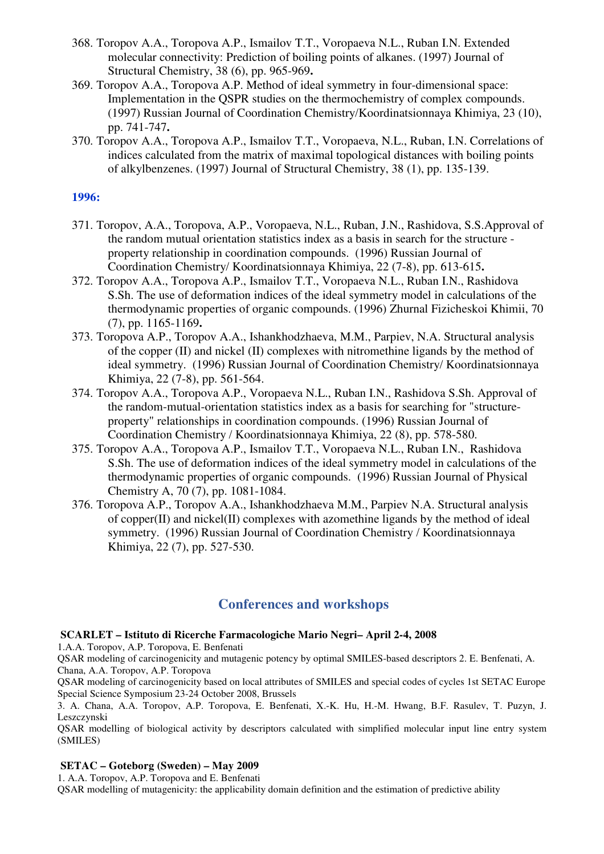- 368. Toropov A.A., Toropova A.P., Ismailov T.T., Voropaeva N.L., Ruban I.N. Extended molecular connectivity: Prediction of boiling points of alkanes. (1997) Journal of Structural Chemistry, 38 (6), pp. 965-969**.**
- 369. Toropov A.A., Toropova A.P. Method of ideal symmetry in four-dimensional space: Implementation in the OSPR studies on the thermochemistry of complex compounds. (1997) Russian Journal of Coordination Chemistry/Koordinatsionnaya Khimiya, 23 (10), pp. 741-747**.**
- 370. Toropov A.A., Toropova A.P., Ismailov T.T., Voropaeva, N.L., Ruban, I.N. Correlations of indices calculated from the matrix of maximal topological distances with boiling points of alkylbenzenes. (1997) Journal of Structural Chemistry, 38 (1), pp. 135-139.

- 371. Toropov, A.A., Toropova, A.P., Voropaeva, N.L., Ruban, J.N., Rashidova, S.S.Approval of the random mutual orientation statistics index as a basis in search for the structure property relationship in coordination compounds. (1996) Russian Journal of Coordination Chemistry/ Koordinatsionnaya Khimiya, 22 (7-8), pp. 613-615**.**
- 372. Toropov A.A., Toropova A.P., Ismailov T.T., Voropaeva N.L., Ruban I.N., Rashidova S.Sh. The use of deformation indices of the ideal symmetry model in calculations of the thermodynamic properties of organic compounds. (1996) Zhurnal Fizicheskoi Khimii, 70 (7), pp. 1165-1169**.**
- 373. Toropova A.P., Toropov A.A., Ishankhodzhaeva, M.M., Parpiev, N.A. Structural analysis of the copper (II) and nickel (II) complexes with nitromethine ligands by the method of ideal symmetry. (1996) Russian Journal of Coordination Chemistry/ Koordinatsionnaya Khimiya, 22 (7-8), pp. 561-564.
- 374. Toropov A.A., Toropova A.P., Voropaeva N.L., Ruban I.N., Rashidova S.Sh. Approval of the random-mutual-orientation statistics index as a basis for searching for "structureproperty" relationships in coordination compounds. (1996) Russian Journal of Coordination Chemistry / Koordinatsionnaya Khimiya, 22 (8), pp. 578-580.
- 375. Toropov A.A., Toropova A.P., Ismailov T.T., Voropaeva N.L., Ruban I.N., Rashidova S.Sh. The use of deformation indices of the ideal symmetry model in calculations of the thermodynamic properties of organic compounds. (1996) Russian Journal of Physical Chemistry A, 70 (7), pp. 1081-1084.
- 376. Toropova A.P., Toropov A.A., Ishankhodzhaeva M.M., Parpiev N.A. Structural analysis of copper(II) and nickel(II) complexes with azomethine ligands by the method of ideal symmetry. (1996) Russian Journal of Coordination Chemistry / Koordinatsionnaya Khimiya, 22 (7), pp. 527-530.

## **Conferences and workshops**

#### **SCARLET – Istituto di Ricerche Farmacologiche Mario Negri– April 2-4, 2008**

1.A.A. Toropov, A.P. Toropova, E. Benfenati

QSAR modeling of carcinogenicity and mutagenic potency by optimal SMILES-based descriptors 2. E. Benfenati, A. Chana, A.A. Toropov, A.P. Toropova

QSAR modeling of carcinogenicity based on local attributes of SMILES and special codes of cycles 1st SETAC Europe Special Science Symposium 23-24 October 2008, Brussels

3. A. Chana, A.A. Toropov, A.P. Toropova, E. Benfenati, X.-K. Hu, H.-M. Hwang, B.F. Rasulev, T. Puzyn, J. Leszczynski

QSAR modelling of biological activity by descriptors calculated with simplified molecular input line entry system (SMILES)

#### **SETAC – Goteborg (Sweden) – May 2009**

1. A.A. Toropov, A.P. Toropova and E. Benfenati

QSAR modelling of mutagenicity: the applicability domain definition and the estimation of predictive ability